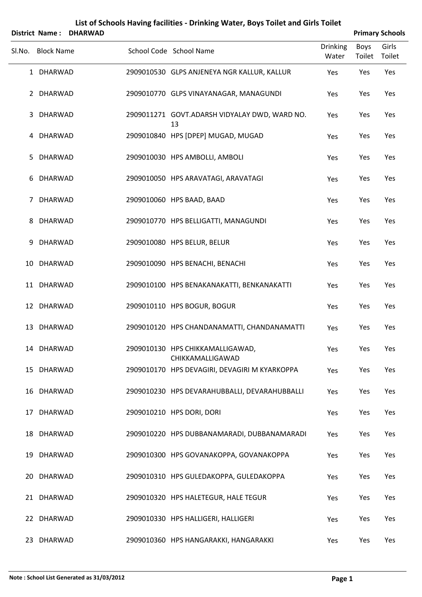|        | District Name:    | <b>DHARWAD</b> |                                                      |                          |                | <b>Primary Schools</b> |
|--------|-------------------|----------------|------------------------------------------------------|--------------------------|----------------|------------------------|
| Sl.No. | <b>Block Name</b> |                | School Code School Name                              | <b>Drinking</b><br>Water | Boys<br>Toilet | Girls<br>Toilet        |
|        | 1 DHARWAD         |                | 2909010530 GLPS ANJENEYA NGR KALLUR, KALLUR          | Yes                      | Yes            | Yes                    |
|        | 2 DHARWAD         |                | 2909010770 GLPS VINAYANAGAR, MANAGUNDI               | Yes                      | Yes            | Yes                    |
| 3      | DHARWAD           |                | 2909011271 GOVT.ADARSH VIDYALAY DWD, WARD NO.<br>13  | Yes                      | Yes            | Yes                    |
|        | 4 DHARWAD         |                | 2909010840 HPS [DPEP] MUGAD, MUGAD                   | Yes                      | Yes            | Yes                    |
| 5      | <b>DHARWAD</b>    |                | 2909010030 HPS AMBOLLI, AMBOLI                       | Yes                      | Yes            | Yes                    |
| 6      | <b>DHARWAD</b>    |                | 2909010050 HPS ARAVATAGI, ARAVATAGI                  | Yes                      | Yes            | Yes                    |
| 7      | <b>DHARWAD</b>    |                | 2909010060 HPS BAAD, BAAD                            | Yes                      | Yes            | Yes                    |
| 8      | <b>DHARWAD</b>    |                | 2909010770 HPS BELLIGATTI, MANAGUNDI                 | Yes                      | Yes            | Yes                    |
| 9      | <b>DHARWAD</b>    |                | 2909010080 HPS BELUR, BELUR                          | Yes                      | Yes            | Yes                    |
| 10     | DHARWAD           |                | 2909010090 HPS BENACHI, BENACHI                      | Yes                      | Yes            | Yes                    |
|        | 11 DHARWAD        |                | 2909010100 HPS BENAKANAKATTI, BENKANAKATTI           | Yes                      | Yes            | Yes                    |
|        | 12 DHARWAD        |                | 2909010110 HPS BOGUR, BOGUR                          | Yes                      | Yes            | Yes                    |
|        | 13 DHARWAD        |                | 2909010120 HPS CHANDANAMATTI, CHANDANAMATTI          | Yes                      | Yes            | Yes                    |
|        | 14 DHARWAD        |                | 2909010130 HPS CHIKKAMALLIGAWAD,<br>CHIKKAMALLIGAWAD | Yes                      | Yes            | Yes                    |
|        | 15 DHARWAD        |                | 2909010170 HPS DEVAGIRI, DEVAGIRI M KYARKOPPA        | Yes                      | Yes            | Yes                    |
|        | 16 DHARWAD        |                | 2909010230 HPS DEVARAHUBBALLI, DEVARAHUBBALLI        | Yes                      | Yes            | Yes                    |
|        | 17 DHARWAD        |                | 2909010210 HPS DORI, DORI                            | Yes                      | Yes            | Yes                    |
|        | 18 DHARWAD        |                | 2909010220 HPS DUBBANAMARADI, DUBBANAMARADI          | Yes                      | Yes            | Yes                    |
|        | 19 DHARWAD        |                | 2909010300 HPS GOVANAKOPPA, GOVANAKOPPA              | Yes                      | Yes            | Yes                    |
|        | 20 DHARWAD        |                | 2909010310 HPS GULEDAKOPPA, GULEDAKOPPA              | Yes                      | Yes            | Yes                    |
|        | 21 DHARWAD        |                | 2909010320 HPS HALETEGUR, HALE TEGUR                 | Yes                      | Yes            | Yes                    |
|        | 22 DHARWAD        |                | 2909010330 HPS HALLIGERI, HALLIGERI                  | Yes                      | Yes            | Yes                    |
|        | 23 DHARWAD        |                | 2909010360 HPS HANGARAKKI, HANGARAKKI                | Yes                      | Yes            | Yes                    |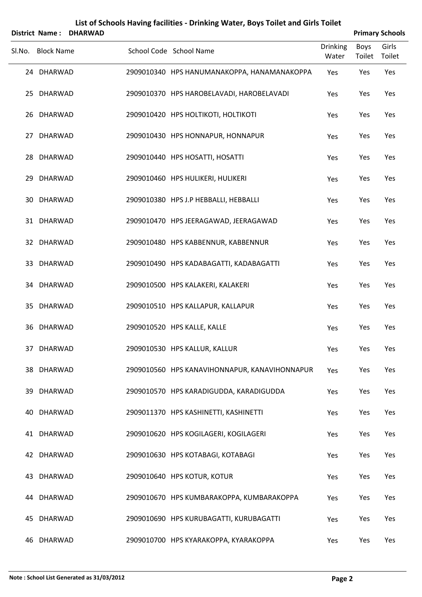| List of Schools Having facilities - Drinking Water, Boys Toilet and Girls Toilet<br><b>Primary Schools</b><br><b>District Name:</b><br><b>DHARWAD</b> |                   |  |  |                                               |                          |                |                 |  |
|-------------------------------------------------------------------------------------------------------------------------------------------------------|-------------------|--|--|-----------------------------------------------|--------------------------|----------------|-----------------|--|
|                                                                                                                                                       | Sl.No. Block Name |  |  | School Code School Name                       | <b>Drinking</b><br>Water | Boys<br>Toilet | Girls<br>Toilet |  |
|                                                                                                                                                       | 24 DHARWAD        |  |  | 2909010340 HPS HANUMANAKOPPA, HANAMANAKOPPA   | Yes                      | Yes            | Yes             |  |
|                                                                                                                                                       | 25 DHARWAD        |  |  | 2909010370 HPS HAROBELAVADI, HAROBELAVADI     | Yes                      | Yes            | Yes             |  |
| 26                                                                                                                                                    | DHARWAD           |  |  | 2909010420 HPS HOLTIKOTI, HOLTIKOTI           | Yes                      | Yes            | Yes             |  |
|                                                                                                                                                       | 27 DHARWAD        |  |  | 2909010430 HPS HONNAPUR, HONNAPUR             | Yes                      | Yes            | Yes             |  |
|                                                                                                                                                       | 28 DHARWAD        |  |  | 2909010440 HPS HOSATTI, HOSATTI               | Yes                      | Yes            | Yes             |  |
| 29                                                                                                                                                    | DHARWAD           |  |  | 2909010460 HPS HULIKERI, HULIKERI             | Yes                      | Yes            | Yes             |  |
| 30                                                                                                                                                    | <b>DHARWAD</b>    |  |  | 2909010380 HPS J.P HEBBALLI, HEBBALLI         | Yes                      | Yes            | Yes             |  |
|                                                                                                                                                       | 31 DHARWAD        |  |  | 2909010470 HPS JEERAGAWAD, JEERAGAWAD         | Yes                      | Yes            | Yes             |  |
|                                                                                                                                                       | 32 DHARWAD        |  |  | 2909010480 HPS KABBENNUR, KABBENNUR           | Yes                      | Yes            | Yes             |  |
|                                                                                                                                                       | 33 DHARWAD        |  |  | 2909010490 HPS KADABAGATTI, KADABAGATTI       | Yes                      | Yes            | Yes             |  |
| 34                                                                                                                                                    | DHARWAD           |  |  | 2909010500 HPS KALAKERI, KALAKERI             | Yes                      | Yes            | Yes             |  |
| 35                                                                                                                                                    | DHARWAD           |  |  | 2909010510 HPS KALLAPUR, KALLAPUR             | Yes                      | Yes            | Yes             |  |
|                                                                                                                                                       | 36 DHARWAD        |  |  | 2909010520 HPS KALLE, KALLE                   | Yes                      | Yes            | Yes             |  |
|                                                                                                                                                       | 37 DHARWAD        |  |  | 2909010530 HPS KALLUR, KALLUR                 | Yes                      | Yes            | Yes             |  |
|                                                                                                                                                       | 38 DHARWAD        |  |  | 2909010560 HPS KANAVIHONNAPUR, KANAVIHONNAPUR | Yes                      | Yes            | Yes             |  |
| 39                                                                                                                                                    | DHARWAD           |  |  | 2909010570 HPS KARADIGUDDA, KARADIGUDDA       | Yes                      | Yes            | Yes             |  |
| 40                                                                                                                                                    | DHARWAD           |  |  | 2909011370 HPS KASHINETTI, KASHINETTI         | Yes                      | Yes            | Yes             |  |
|                                                                                                                                                       | 41 DHARWAD        |  |  | 2909010620 HPS KOGILAGERI, KOGILAGERI         | Yes                      | Yes            | Yes             |  |
|                                                                                                                                                       | 42 DHARWAD        |  |  | 2909010630 HPS KOTABAGI, KOTABAGI             | Yes                      | Yes            | Yes             |  |
|                                                                                                                                                       | 43 DHARWAD        |  |  | 2909010640 HPS KOTUR, KOTUR                   | Yes                      | Yes            | Yes             |  |
|                                                                                                                                                       | 44 DHARWAD        |  |  | 2909010670 HPS KUMBARAKOPPA, KUMBARAKOPPA     | Yes                      | Yes            | Yes             |  |
|                                                                                                                                                       | 45 DHARWAD        |  |  | 2909010690 HPS KURUBAGATTI, KURUBAGATTI       | Yes                      | Yes            | Yes             |  |
|                                                                                                                                                       | 46 DHARWAD        |  |  | 2909010700 HPS KYARAKOPPA, KYARAKOPPA         | Yes                      | Yes            | Yes             |  |

#### **Note : School List Generated as 31/03/2012 Page 2**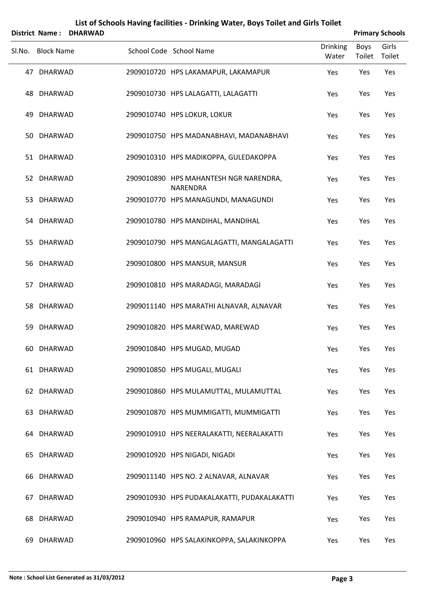| List of Schools Having facilities - Drinking Water, Boys Toilet and Girls Toilet<br><b>Primary Schools</b><br><b>District Name:</b><br><b>DHARWAD</b> |                   |  |  |                                                    |                          |                       |                 |
|-------------------------------------------------------------------------------------------------------------------------------------------------------|-------------------|--|--|----------------------------------------------------|--------------------------|-----------------------|-----------------|
|                                                                                                                                                       | Sl.No. Block Name |  |  | School Code School Name                            | <b>Drinking</b><br>Water | <b>Boys</b><br>Toilet | Girls<br>Toilet |
|                                                                                                                                                       | 47 DHARWAD        |  |  | 2909010720 HPS LAKAMAPUR, LAKAMAPUR                | Yes                      | Yes                   | Yes             |
|                                                                                                                                                       | 48 DHARWAD        |  |  | 2909010730 HPS LALAGATTI, LALAGATTI                | Yes                      | Yes                   | Yes             |
| 49                                                                                                                                                    | <b>DHARWAD</b>    |  |  | 2909010740 HPS LOKUR, LOKUR                        | Yes                      | Yes                   | Yes             |
|                                                                                                                                                       | 50 DHARWAD        |  |  | 2909010750 HPS MADANABHAVI, MADANABHAVI            | Yes                      | Yes                   | Yes             |
|                                                                                                                                                       | 51 DHARWAD        |  |  | 2909010310 HPS MADIKOPPA, GULEDAKOPPA              | Yes                      | Yes                   | Yes             |
|                                                                                                                                                       | 52 DHARWAD        |  |  | 2909010890 HPS MAHANTESH NGR NARENDRA,<br>NARENDRA | Yes                      | Yes                   | Yes             |
| 53                                                                                                                                                    | <b>DHARWAD</b>    |  |  | 2909010770 HPS MANAGUNDI, MANAGUNDI                | Yes                      | Yes                   | Yes             |
|                                                                                                                                                       | 54 DHARWAD        |  |  | 2909010780 HPS MANDIHAL, MANDIHAL                  | Yes                      | Yes                   | Yes             |
| 55                                                                                                                                                    | <b>DHARWAD</b>    |  |  | 2909010790 HPS MANGALAGATTI, MANGALAGATTI          | Yes                      | Yes                   | Yes             |
|                                                                                                                                                       | 56 DHARWAD        |  |  | 2909010800 HPS MANSUR, MANSUR                      | Yes                      | Yes                   | Yes             |
| 57.                                                                                                                                                   | <b>DHARWAD</b>    |  |  | 2909010810 HPS MARADAGI, MARADAGI                  | Yes                      | Yes                   | Yes             |
| 58                                                                                                                                                    | <b>DHARWAD</b>    |  |  | 2909011140 HPS MARATHI ALNAVAR, ALNAVAR            | Yes                      | Yes                   | Yes             |
| 59                                                                                                                                                    | <b>DHARWAD</b>    |  |  | 2909010820 HPS MAREWAD, MAREWAD                    | Yes                      | Yes                   | Yes             |
|                                                                                                                                                       | 60 DHARWAD        |  |  | 2909010840 HPS MUGAD, MUGAD                        | Yes                      | Yes                   | Yes             |
|                                                                                                                                                       | 61 DHARWAD        |  |  | 2909010850 HPS MUGALI, MUGALI                      | Yes                      | Yes                   | Yes             |
|                                                                                                                                                       | 62 DHARWAD        |  |  | 2909010860 HPS MULAMUTTAL, MULAMUTTAL              | Yes                      | Yes                   | Yes             |
| 63.                                                                                                                                                   | <b>DHARWAD</b>    |  |  | 2909010870 HPS MUMMIGATTI, MUMMIGATTI              | Yes                      | Yes                   | Yes             |
| 64.                                                                                                                                                   | DHARWAD           |  |  | 2909010910 HPS NEERALAKATTI, NEERALAKATTI          | Yes                      | Yes                   | Yes             |
| 65.                                                                                                                                                   | <b>DHARWAD</b>    |  |  | 2909010920 HPS NIGADI, NIGADI                      | Yes                      | Yes                   | Yes             |
| 66                                                                                                                                                    | DHARWAD           |  |  | 2909011140 HPS NO. 2 ALNAVAR, ALNAVAR              | Yes                      | Yes                   | Yes             |
| 67                                                                                                                                                    | <b>DHARWAD</b>    |  |  | 2909010930 HPS PUDAKALAKATTI, PUDAKALAKATTI        | Yes                      | Yes                   | Yes             |
| 68                                                                                                                                                    | <b>DHARWAD</b>    |  |  | 2909010940 HPS RAMAPUR, RAMAPUR                    | Yes                      | Yes                   | Yes             |
|                                                                                                                                                       | 69 DHARWAD        |  |  | 2909010960 HPS SALAKINKOPPA, SALAKINKOPPA          | Yes                      | Yes                   | Yes             |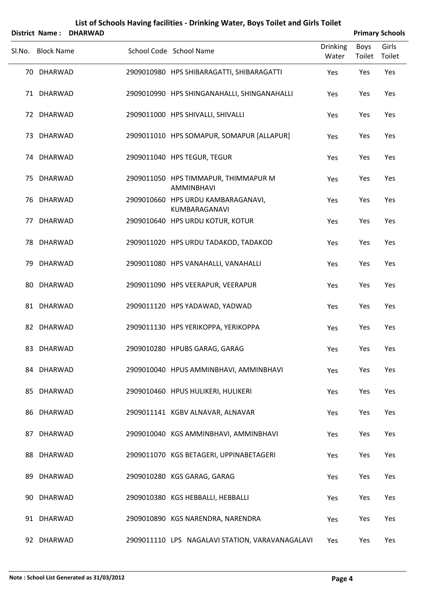|    | District Name:    | <b>DHARWAD</b> |                                                     |                          |                | <b>Primary Schools</b> |
|----|-------------------|----------------|-----------------------------------------------------|--------------------------|----------------|------------------------|
|    | Sl.No. Block Name |                | School Code School Name                             | <b>Drinking</b><br>Water | Boys<br>Toilet | Girls<br>Toilet        |
|    | 70 DHARWAD        |                | 2909010980 HPS SHIBARAGATTI, SHIBARAGATTI           | Yes                      | Yes            | Yes                    |
|    | 71 DHARWAD        |                | 2909010990 HPS SHINGANAHALLI, SHINGANAHALLI         | Yes                      | Yes            | Yes                    |
|    | 72 DHARWAD        |                | 2909011000 HPS SHIVALLI, SHIVALLI                   | Yes                      | Yes            | Yes                    |
|    | 73 DHARWAD        |                | 2909011010 HPS SOMAPUR, SOMAPUR [ALLAPUR]           | Yes                      | Yes            | Yes                    |
|    | 74 DHARWAD        |                | 2909011040 HPS TEGUR, TEGUR                         | Yes                      | Yes            | Yes                    |
|    | 75 DHARWAD        |                | 2909011050 HPS TIMMAPUR, THIMMAPUR M<br>AMMINBHAVI  | Yes                      | Yes            | Yes                    |
|    | 76 DHARWAD        |                | 2909010660 HPS URDU KAMBARAGANAVI,<br>KUMBARAGANAVI | Yes                      | Yes            | Yes                    |
| 77 | DHARWAD           |                | 2909010640 HPS URDU KOTUR, KOTUR                    | Yes                      | Yes            | Yes                    |
|    | 78 DHARWAD        |                | 2909011020 HPS URDU TADAKOD, TADAKOD                | Yes                      | Yes            | Yes                    |
|    | 79 DHARWAD        |                | 2909011080 HPS VANAHALLI, VANAHALLI                 | Yes                      | Yes            | Yes                    |
|    | 80 DHARWAD        |                | 2909011090 HPS VEERAPUR, VEERAPUR                   | Yes                      | Yes            | Yes                    |
|    | 81 DHARWAD        |                | 2909011120 HPS YADAWAD, YADWAD                      | Yes                      | Yes            | Yes                    |
| 82 | DHARWAD           |                | 2909011130 HPS YERIKOPPA, YERIKOPPA                 | Yes                      | Yes            | Yes                    |
|    | 83 DHARWAD        |                | 2909010280 HPUBS GARAG, GARAG                       | Yes                      | Yes            | Yes                    |
|    | 84 DHARWAD        |                | 2909010040 HPUS AMMINBHAVI, AMMINBHAVI              | Yes                      | Yes            | Yes                    |
| 85 | DHARWAD           |                | 2909010460 HPUS HULIKERI, HULIKERI                  | Yes                      | Yes            | Yes                    |
|    | 86 DHARWAD        |                | 2909011141 KGBV ALNAVAR, ALNAVAR                    | Yes                      | Yes            | Yes                    |
| 87 | <b>DHARWAD</b>    |                | 2909010040 KGS AMMINBHAVI, AMMINBHAVI               | Yes                      | Yes            | Yes                    |
|    | 88 DHARWAD        |                | 2909011070 KGS BETAGERI, UPPINABETAGERI             | Yes                      | Yes            | Yes                    |
| 89 | DHARWAD           |                | 2909010280 KGS GARAG, GARAG                         | Yes                      | Yes            | Yes                    |
|    | 90 DHARWAD        |                | 2909010380 KGS HEBBALLI, HEBBALLI                   | Yes                      | Yes            | Yes                    |
|    | 91 DHARWAD        |                | 2909010890 KGS NARENDRA, NARENDRA                   | Yes                      | Yes            | Yes                    |
|    | 92 DHARWAD        |                | 2909011110 LPS NAGALAVI STATION, VARAVANAGALAVI     | Yes                      | Yes            | Yes                    |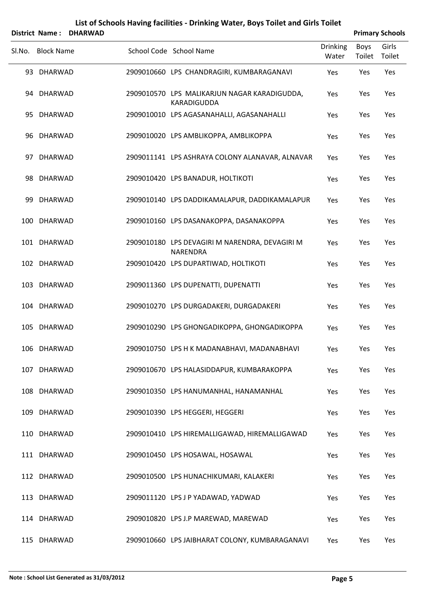|        | <b>District Name:</b> | <b>DHARWAD</b> |                                                             |                          |                | <b>Primary Schools</b> |
|--------|-----------------------|----------------|-------------------------------------------------------------|--------------------------|----------------|------------------------|
| SI.No. | <b>Block Name</b>     |                | School Code School Name                                     | <b>Drinking</b><br>Water | Boys<br>Toilet | Girls<br>Toilet        |
|        | 93 DHARWAD            |                | 2909010660 LPS CHANDRAGIRI, KUMBARAGANAVI                   | Yes                      | Yes            | Yes                    |
|        | 94 DHARWAD            |                | 2909010570 LPS MALIKARJUN NAGAR KARADIGUDDA,<br>KARADIGUDDA | Yes                      | Yes            | Yes                    |
|        | 95 DHARWAD            |                | 2909010010 LPS AGASANAHALLI, AGASANAHALLI                   | Yes                      | Yes            | Yes                    |
|        | 96 DHARWAD            |                | 2909010020 LPS AMBLIKOPPA, AMBLIKOPPA                       | Yes                      | Yes            | Yes                    |
|        | 97 DHARWAD            |                | 2909011141 LPS ASHRAYA COLONY ALANAVAR, ALNAVAR             | Yes                      | Yes            | Yes                    |
|        | 98 DHARWAD            |                | 2909010420 LPS BANADUR, HOLTIKOTI                           | Yes                      | Yes            | Yes                    |
| 99     | DHARWAD               |                | 2909010140 LPS DADDIKAMALAPUR, DADDIKAMALAPUR               | Yes                      | Yes            | Yes                    |
|        | 100 DHARWAD           |                | 2909010160 LPS DASANAKOPPA, DASANAKOPPA                     | Yes                      | Yes            | Yes                    |
|        | 101 DHARWAD           |                | 2909010180 LPS DEVAGIRI M NARENDRA, DEVAGIRI M<br>NARENDRA  | Yes                      | Yes            | Yes                    |
|        | 102 DHARWAD           |                | 2909010420 LPS DUPARTIWAD, HOLTIKOTI                        | Yes                      | Yes            | Yes                    |
|        | 103 DHARWAD           |                | 2909011360 LPS DUPENATTI, DUPENATTI                         | Yes                      | Yes            | Yes                    |
|        | 104 DHARWAD           |                | 2909010270 LPS DURGADAKERI, DURGADAKERI                     | Yes                      | Yes            | Yes                    |
| 105    | <b>DHARWAD</b>        |                | 2909010290 LPS GHONGADIKOPPA, GHONGADIKOPPA                 | Yes                      | Yes            | Yes                    |
|        | 106 DHARWAD           |                | 2909010750 LPS H K MADANABHAVI, MADANABHAVI                 | Yes                      | Yes            | Yes                    |
|        | 107 DHARWAD           |                | 2909010670 LPS HALASIDDAPUR, KUMBARAKOPPA                   | Yes                      | Yes            | Yes                    |
|        | 108 DHARWAD           |                | 2909010350 LPS HANUMANHAL, HANAMANHAL                       | Yes                      | Yes            | Yes                    |
|        | 109 DHARWAD           |                | 2909010390 LPS HEGGERI, HEGGERI                             | Yes                      | Yes            | Yes                    |
|        | 110 DHARWAD           |                | 2909010410 LPS HIREMALLIGAWAD, HIREMALLIGAWAD               | Yes                      | Yes            | Yes                    |
|        | 111 DHARWAD           |                | 2909010450 LPS HOSAWAL, HOSAWAL                             | Yes                      | Yes            | Yes                    |
|        | 112 DHARWAD           |                | 2909010500 LPS HUNACHIKUMARI, KALAKERI                      | Yes                      | Yes            | Yes                    |
|        | 113 DHARWAD           |                | 2909011120 LPS J P YADAWAD, YADWAD                          | Yes                      | Yes            | Yes                    |
|        | 114 DHARWAD           |                | 2909010820 LPS J.P MAREWAD, MAREWAD                         | Yes                      | Yes            | Yes                    |
|        | 115 DHARWAD           |                | 2909010660 LPS JAIBHARAT COLONY, KUMBARAGANAVI              | Yes                      | Yes            | Yes                    |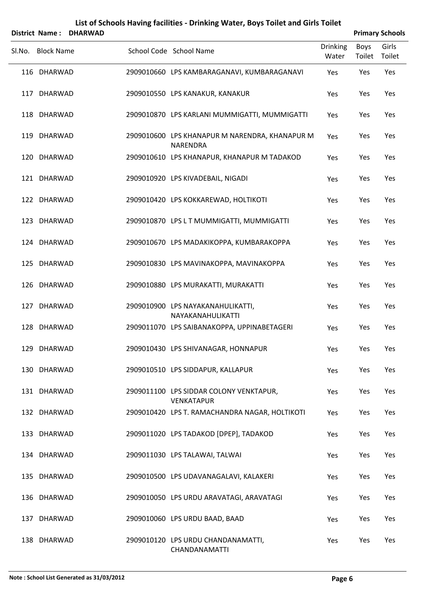|        | <b>District Name:</b> | <b>DHARWAD</b> |                                                              |                          |                       | <b>Primary Schools</b> |
|--------|-----------------------|----------------|--------------------------------------------------------------|--------------------------|-----------------------|------------------------|
| Sl.No. | <b>Block Name</b>     |                | School Code School Name                                      | <b>Drinking</b><br>Water | <b>Boys</b><br>Toilet | Girls<br>Toilet        |
|        | 116 DHARWAD           |                | 2909010660 LPS KAMBARAGANAVI, KUMBARAGANAVI                  | Yes                      | Yes                   | Yes                    |
|        | 117 DHARWAD           |                | 2909010550 LPS KANAKUR, KANAKUR                              | Yes                      | Yes                   | Yes                    |
|        | 118 DHARWAD           |                | 2909010870 LPS KARLANI MUMMIGATTI, MUMMIGATTI                | Yes                      | Yes                   | Yes                    |
|        | 119 DHARWAD           |                | 2909010600 LPS KHANAPUR M NARENDRA, KHANAPUR M<br>NARENDRA   | Yes                      | Yes                   | Yes                    |
|        | 120 DHARWAD           |                | 2909010610 LPS KHANAPUR, KHANAPUR M TADAKOD                  | Yes                      | Yes                   | Yes                    |
|        | 121 DHARWAD           |                | 2909010920 LPS KIVADEBAIL, NIGADI                            | Yes                      | Yes                   | Yes                    |
|        | 122 DHARWAD           |                | 2909010420 LPS KOKKAREWAD, HOLTIKOTI                         | Yes                      | Yes                   | Yes                    |
|        | 123 DHARWAD           |                | 2909010870 LPS L T MUMMIGATTI, MUMMIGATTI                    | Yes                      | Yes                   | Yes                    |
|        | 124 DHARWAD           |                | 2909010670 LPS MADAKIKOPPA, KUMBARAKOPPA                     | Yes                      | Yes                   | Yes                    |
|        | 125 DHARWAD           |                | 2909010830 LPS MAVINAKOPPA, MAVINAKOPPA                      | Yes                      | Yes                   | Yes                    |
|        | 126 DHARWAD           |                | 2909010880 LPS MURAKATTI, MURAKATTI                          | Yes                      | Yes                   | Yes                    |
|        | 127 DHARWAD           |                | 2909010900 LPS NAYAKANAHULIKATTI,<br>NAYAKANAHULIKATTI       | Yes                      | Yes                   | Yes                    |
|        | 128 DHARWAD           |                | 2909011070 LPS SAIBANAKOPPA, UPPINABETAGERI                  | Yes                      | Yes                   | Yes                    |
|        | 129 DHARWAD           |                | 2909010430 LPS SHIVANAGAR, HONNAPUR                          | Yes                      | Yes                   | Yes                    |
|        | 130 DHARWAD           |                | 2909010510 LPS SIDDAPUR, KALLAPUR                            | Yes                      | Yes                   | Yes                    |
|        | 131 DHARWAD           |                | 2909011100 LPS SIDDAR COLONY VENKTAPUR,<br><b>VENKATAPUR</b> | Yes                      | Yes                   | Yes                    |
|        | 132 DHARWAD           |                | 2909010420 LPS T. RAMACHANDRA NAGAR, HOLTIKOTI               | Yes                      | Yes                   | Yes                    |
|        | 133 DHARWAD           |                | 2909011020 LPS TADAKOD [DPEP], TADAKOD                       | Yes                      | Yes                   | Yes                    |
|        | 134 DHARWAD           |                | 2909011030 LPS TALAWAI, TALWAI                               | Yes                      | Yes                   | Yes                    |
|        | 135 DHARWAD           |                | 2909010500 LPS UDAVANAGALAVI, KALAKERI                       | Yes                      | Yes                   | Yes                    |
|        | 136 DHARWAD           |                | 2909010050 LPS URDU ARAVATAGI, ARAVATAGI                     | Yes                      | Yes                   | Yes                    |
|        | 137 DHARWAD           |                | 2909010060 LPS URDU BAAD, BAAD                               | Yes                      | Yes                   | Yes                    |
|        | 138 DHARWAD           |                | 2909010120 LPS URDU CHANDANAMATTI,<br>CHANDANAMATTI          | Yes                      | Yes                   | Yes                    |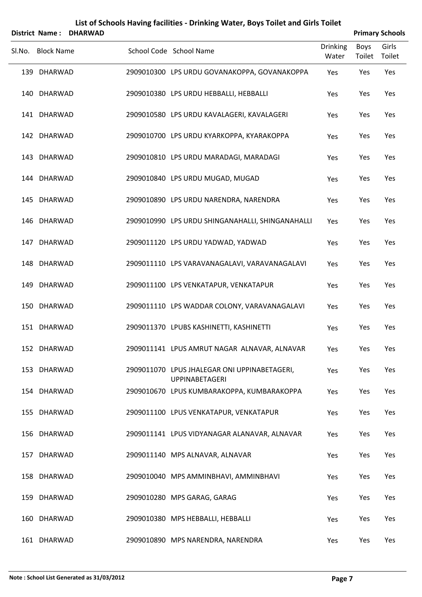|        | <b>District Name:</b> | <b>DHARWAD</b> |                                                                       |                          |                       | <b>Primary Schools</b> |
|--------|-----------------------|----------------|-----------------------------------------------------------------------|--------------------------|-----------------------|------------------------|
| Sl.No. | <b>Block Name</b>     |                | School Code School Name                                               | <b>Drinking</b><br>Water | <b>Boys</b><br>Toilet | Girls<br>Toilet        |
|        | 139 DHARWAD           |                | 2909010300 LPS URDU GOVANAKOPPA, GOVANAKOPPA                          | Yes                      | Yes                   | Yes                    |
|        | 140 DHARWAD           |                | 2909010380 LPS URDU HEBBALLI, HEBBALLI                                | Yes                      | Yes                   | Yes                    |
|        | 141 DHARWAD           |                | 2909010580 LPS URDU KAVALAGERI, KAVALAGERI                            | Yes                      | Yes                   | Yes                    |
|        | 142 DHARWAD           |                | 2909010700 LPS URDU KYARKOPPA, KYARAKOPPA                             | Yes                      | Yes                   | Yes                    |
|        | 143 DHARWAD           |                | 2909010810 LPS URDU MARADAGI, MARADAGI                                | Yes                      | Yes                   | Yes                    |
|        | 144 DHARWAD           |                | 2909010840 LPS URDU MUGAD, MUGAD                                      | Yes                      | Yes                   | Yes                    |
|        | 145 DHARWAD           |                | 2909010890 LPS URDU NARENDRA, NARENDRA                                | Yes                      | Yes                   | Yes                    |
|        | 146 DHARWAD           |                | 2909010990 LPS URDU SHINGANAHALLI, SHINGANAHALLI                      | Yes                      | Yes                   | Yes                    |
|        | 147 DHARWAD           |                | 2909011120 LPS URDU YADWAD, YADWAD                                    | Yes                      | Yes                   | Yes                    |
|        | 148 DHARWAD           |                | 2909011110 LPS VARAVANAGALAVI, VARAVANAGALAVI                         | Yes                      | Yes                   | Yes                    |
|        | 149 DHARWAD           |                | 2909011100 LPS VENKATAPUR, VENKATAPUR                                 | Yes                      | Yes                   | Yes                    |
|        | 150 DHARWAD           |                | 2909011110 LPS WADDAR COLONY, VARAVANAGALAVI                          | Yes                      | Yes                   | Yes                    |
|        | 151 DHARWAD           |                | 2909011370 LPUBS KASHINETTI, KASHINETTI                               | Yes                      | Yes                   | Yes                    |
|        | 152 DHARWAD           |                | 2909011141 LPUS AMRUT NAGAR ALNAVAR, ALNAVAR                          | Yes                      | Yes                   | Yes                    |
|        | 153 DHARWAD           |                | 2909011070 LPUS JHALEGAR ONI UPPINABETAGERI,<br><b>UPPINABETAGERI</b> | Yes                      | Yes                   | Yes                    |
|        | 154 DHARWAD           |                | 2909010670 LPUS KUMBARAKOPPA, KUMBARAKOPPA                            | Yes                      | Yes                   | Yes                    |
|        | 155 DHARWAD           |                | 2909011100 LPUS VENKATAPUR, VENKATAPUR                                | Yes                      | Yes                   | Yes                    |
|        | 156 DHARWAD           |                | 2909011141 LPUS VIDYANAGAR ALANAVAR, ALNAVAR                          | Yes                      | Yes                   | Yes                    |
|        | 157 DHARWAD           |                | 2909011140 MPS ALNAVAR, ALNAVAR                                       | Yes                      | Yes                   | Yes                    |
|        | 158 DHARWAD           |                | 2909010040 MPS AMMINBHAVI, AMMINBHAVI                                 | Yes                      | Yes                   | Yes                    |
|        | 159 DHARWAD           |                | 2909010280 MPS GARAG, GARAG                                           | Yes                      | Yes                   | Yes                    |
|        | 160 DHARWAD           |                | 2909010380 MPS HEBBALLI, HEBBALLI                                     | Yes                      | Yes                   | Yes                    |
|        | 161 DHARWAD           |                | 2909010890 MPS NARENDRA, NARENDRA                                     | Yes                      | Yes                   | Yes                    |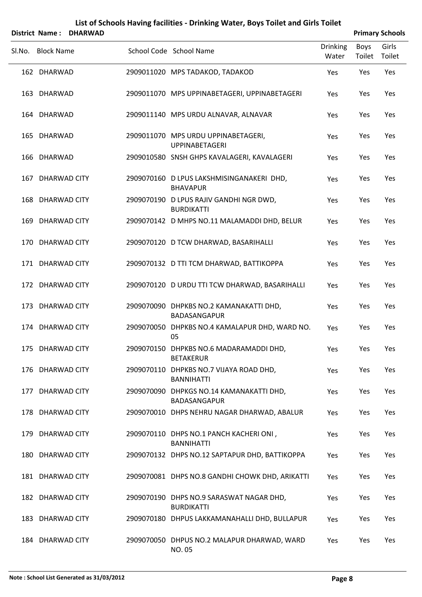|        | District Name:    | <b>DHARWAD</b> |                                                               |                          | <b>Primary Schools</b> |                 |
|--------|-------------------|----------------|---------------------------------------------------------------|--------------------------|------------------------|-----------------|
| Sl.No. | <b>Block Name</b> |                | School Code School Name                                       | <b>Drinking</b><br>Water | <b>Boys</b><br>Toilet  | Girls<br>Toilet |
|        | 162 DHARWAD       |                | 2909011020 MPS TADAKOD, TADAKOD                               | Yes                      | Yes                    | Yes             |
|        | 163 DHARWAD       |                | 2909011070 MPS UPPINABETAGERI, UPPINABETAGERI                 | Yes                      | Yes                    | Yes             |
|        | 164 DHARWAD       |                | 2909011140 MPS URDU ALNAVAR, ALNAVAR                          | Yes                      | Yes                    | Yes             |
|        | 165 DHARWAD       |                | 2909011070 MPS URDU UPPINABETAGERI,<br><b>UPPINABETAGERI</b>  | Yes                      | Yes                    | Yes             |
|        | 166 DHARWAD       |                | 2909010580 SNSH GHPS KAVALAGERI, KAVALAGERI                   | Yes                      | Yes                    | Yes             |
|        | 167 DHARWAD CITY  |                | 2909070160 D LPUS LAKSHMISINGANAKERI DHD,<br><b>BHAVAPUR</b>  | Yes                      | Yes                    | Yes             |
|        | 168 DHARWAD CITY  |                | 2909070190 D LPUS RAJIV GANDHI NGR DWD,<br><b>BURDIKATTI</b>  | Yes                      | Yes                    | Yes             |
|        | 169 DHARWAD CITY  |                | 2909070142 D MHPS NO.11 MALAMADDI DHD, BELUR                  | Yes                      | Yes                    | Yes             |
|        | 170 DHARWAD CITY  |                | 2909070120 D TCW DHARWAD, BASARIHALLI                         | Yes                      | Yes                    | Yes             |
|        | 171 DHARWAD CITY  |                | 2909070132 D TTI TCM DHARWAD, BATTIKOPPA                      | Yes                      | Yes                    | Yes             |
|        | 172 DHARWAD CITY  |                | 2909070120 D URDU TTI TCW DHARWAD, BASARIHALLI                | Yes                      | Yes                    | Yes             |
|        | 173 DHARWAD CITY  |                | 2909070090 DHPKBS NO.2 KAMANAKATTI DHD,<br>BADASANGAPUR       | Yes                      | Yes                    | Yes             |
|        | 174 DHARWAD CITY  |                | 2909070050 DHPKBS NO.4 KAMALAPUR DHD, WARD NO.<br>05          | Yes                      | Yes                    | Yes             |
|        | 175 DHARWAD CITY  |                | 2909070150 DHPKBS NO.6 MADARAMADDI DHD,<br><b>BETAKERUR</b>   | Yes                      | Yes                    | Yes             |
|        | 176 DHARWAD CITY  |                | 2909070110 DHPKBS NO.7 VIJAYA ROAD DHD,<br><b>BANNIHATTI</b>  | Yes                      | Yes                    | Yes             |
|        | 177 DHARWAD CITY  |                | 2909070090 DHPKGS NO.14 KAMANAKATTI DHD,<br>BADASANGAPUR      | Yes                      | Yes                    | Yes             |
|        | 178 DHARWAD CITY  |                | 2909070010 DHPS NEHRU NAGAR DHARWAD, ABALUR                   | Yes                      | Yes                    | Yes             |
|        | 179 DHARWAD CITY  |                | 2909070110 DHPS NO.1 PANCH KACHERI ONI,<br><b>BANNIHATTI</b>  | Yes                      | Yes                    | Yes             |
|        | 180 DHARWAD CITY  |                | 2909070132 DHPS NO.12 SAPTAPUR DHD, BATTIKOPPA                | Yes                      | Yes                    | Yes             |
|        | 181 DHARWAD CITY  |                | 2909070081 DHPS NO.8 GANDHI CHOWK DHD, ARIKATTI               | Yes                      | Yes                    | Yes             |
|        | 182 DHARWAD CITY  |                | 2909070190 DHPS NO.9 SARASWAT NAGAR DHD,<br><b>BURDIKATTI</b> | Yes                      | Yes                    | Yes             |
|        | 183 DHARWAD CITY  |                | 2909070180 DHPUS LAKKAMANAHALLI DHD, BULLAPUR                 | Yes                      | Yes                    | Yes             |

184 DHARWAD CITY 2909070050 DHPUS NO.2 MALAPUR DHARWAD, WARD Yes Yes Yes

NO. 05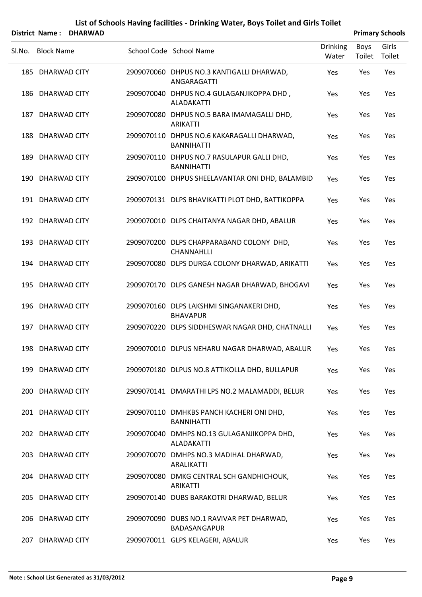|        | <b>District Name:</b> | <b>DHARWAD</b> |                                                                 |                          |                | <b>Primary Schools</b> |
|--------|-----------------------|----------------|-----------------------------------------------------------------|--------------------------|----------------|------------------------|
| SI.No. | <b>Block Name</b>     |                | School Code School Name                                         | <b>Drinking</b><br>Water | Boys<br>Toilet | Girls<br>Toilet        |
|        | 185 DHARWAD CITY      |                | 2909070060 DHPUS NO.3 KANTIGALLI DHARWAD,<br>ANGARAGATTI        | Yes                      | Yes            | Yes                    |
|        | 186 DHARWAD CITY      |                | 2909070040 DHPUS NO.4 GULAGANJIKOPPA DHD,<br><b>ALADAKATTI</b>  | Yes                      | Yes            | Yes                    |
|        | 187 DHARWAD CITY      |                | 2909070080 DHPUS NO.5 BARA IMAMAGALLI DHD,<br><b>ARIKATTI</b>   | Yes                      | Yes            | Yes                    |
|        | 188 DHARWAD CITY      |                | 2909070110 DHPUS NO.6 KAKARAGALLI DHARWAD,<br><b>BANNIHATTI</b> | Yes                      | Yes            | Yes                    |
|        | 189 DHARWAD CITY      |                | 2909070110 DHPUS NO.7 RASULAPUR GALLI DHD,<br><b>BANNIHATTI</b> | Yes                      | Yes            | Yes                    |
|        | 190 DHARWAD CITY      |                | 2909070100 DHPUS SHEELAVANTAR ONI DHD, BALAMBID                 | Yes                      | Yes            | Yes                    |
|        | 191 DHARWAD CITY      |                | 2909070131 DLPS BHAVIKATTI PLOT DHD, BATTIKOPPA                 | Yes                      | Yes            | Yes                    |
|        | 192 DHARWAD CITY      |                | 2909070010 DLPS CHAITANYA NAGAR DHD, ABALUR                     | Yes                      | Yes            | Yes                    |
|        | 193 DHARWAD CITY      |                | 2909070200 DLPS CHAPPARABAND COLONY DHD,<br><b>CHANNAHLLI</b>   | Yes                      | Yes            | Yes                    |
|        | 194 DHARWAD CITY      |                | 2909070080 DLPS DURGA COLONY DHARWAD, ARIKATTI                  | Yes                      | Yes            | Yes                    |
|        | 195 DHARWAD CITY      |                | 2909070170 DLPS GANESH NAGAR DHARWAD, BHOGAVI                   | Yes                      | Yes            | Yes                    |
|        | 196 DHARWAD CITY      |                | 2909070160 DLPS LAKSHMI SINGANAKERI DHD,<br><b>BHAVAPUR</b>     | Yes                      | Yes            | Yes                    |
|        | 197 DHARWAD CITY      |                | 2909070220 DLPS SIDDHESWAR NAGAR DHD, CHATNALLI                 | Yes                      | Yes            | Yes                    |
|        | 198 DHARWAD CITY      |                | 2909070010 DLPUS NEHARU NAGAR DHARWAD, ABALUR                   | Yes                      | Yes            | Yes                    |
|        | 199 DHARWAD CITY      |                | 2909070180 DLPUS NO.8 ATTIKOLLA DHD, BULLAPUR                   | Yes                      | Yes            | Yes                    |
|        | 200 DHARWAD CITY      |                | 2909070141 DMARATHI LPS NO.2 MALAMADDI, BELUR                   | Yes                      | Yes            | Yes                    |
|        | 201 DHARWAD CITY      |                | 2909070110 DMHKBS PANCH KACHERI ONI DHD,<br><b>BANNIHATTI</b>   | Yes                      | Yes            | Yes                    |
|        | 202 DHARWAD CITY      |                | 2909070040 DMHPS NO.13 GULAGANJIKOPPA DHD,<br><b>ALADAKATTI</b> | Yes                      | Yes            | Yes                    |
|        | 203 DHARWAD CITY      |                | 2909070070 DMHPS NO.3 MADIHAL DHARWAD,<br><b>ARALIKATTI</b>     | Yes                      | Yes            | Yes                    |
|        | 204 DHARWAD CITY      |                | 2909070080 DMKG CENTRAL SCH GANDHICHOUK,<br><b>ARIKATTI</b>     | Yes                      | Yes            | Yes                    |
|        | 205 DHARWAD CITY      |                | 2909070140 DUBS BARAKOTRI DHARWAD, BELUR                        | Yes                      | Yes            | Yes                    |
|        | 206 DHARWAD CITY      |                | 2909070090 DUBS NO.1 RAVIVAR PET DHARWAD,<br>BADASANGAPUR       | Yes                      | Yes            | Yes                    |
|        | 207 DHARWAD CITY      |                | 2909070011 GLPS KELAGERI, ABALUR                                | Yes                      | Yes            | Yes                    |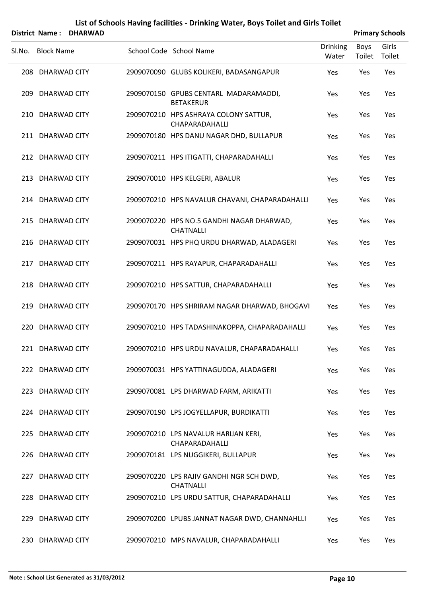|        | <b>District Name:</b> | <b>DHARWAD</b> |                                                               |                          |                | <b>Primary Schools</b> |
|--------|-----------------------|----------------|---------------------------------------------------------------|--------------------------|----------------|------------------------|
| Sl.No. | <b>Block Name</b>     |                | School Code School Name                                       | <b>Drinking</b><br>Water | Boys<br>Toilet | Girls<br>Toilet        |
|        | 208 DHARWAD CITY      |                | 2909070090 GLUBS KOLIKERI, BADASANGAPUR                       | Yes                      | Yes            | Yes                    |
|        | 209 DHARWAD CITY      |                | 2909070150 GPUBS CENTARL MADARAMADDI,<br><b>BETAKERUR</b>     | Yes                      | Yes            | Yes                    |
|        | 210 DHARWAD CITY      |                | 2909070210 HPS ASHRAYA COLONY SATTUR,<br>CHAPARADAHALLI       | Yes                      | Yes            | Yes                    |
|        | 211 DHARWAD CITY      |                | 2909070180 HPS DANU NAGAR DHD, BULLAPUR                       | Yes                      | Yes            | Yes                    |
|        | 212 DHARWAD CITY      |                | 2909070211 HPS ITIGATTI, CHAPARADAHALLI                       | Yes                      | Yes            | Yes                    |
|        | 213 DHARWAD CITY      |                | 2909070010 HPS KELGERI, ABALUR                                | Yes                      | Yes            | Yes                    |
|        | 214 DHARWAD CITY      |                | 2909070210 HPS NAVALUR CHAVANI, CHAPARADAHALLI                | Yes                      | Yes            | Yes                    |
|        | 215 DHARWAD CITY      |                | 2909070220 HPS NO.5 GANDHI NAGAR DHARWAD,<br><b>CHATNALLI</b> | Yes                      | Yes            | Yes                    |
|        | 216 DHARWAD CITY      |                | 2909070031 HPS PHQ URDU DHARWAD, ALADAGERI                    | Yes                      | Yes            | Yes                    |
|        | 217 DHARWAD CITY      |                | 2909070211 HPS RAYAPUR, CHAPARADAHALLI                        | Yes                      | Yes            | Yes                    |
|        | 218 DHARWAD CITY      |                | 2909070210 HPS SATTUR, CHAPARADAHALLI                         | Yes                      | Yes            | Yes                    |
|        | 219 DHARWAD CITY      |                | 2909070170 HPS SHRIRAM NAGAR DHARWAD, BHOGAVI                 | Yes                      | Yes            | Yes                    |
|        | 220 DHARWAD CITY      |                | 2909070210 HPS TADASHINAKOPPA, CHAPARADAHALLI                 | Yes                      | Yes            | Yes                    |
|        | 221 DHARWAD CITY      |                | 2909070210 HPS URDU NAVALUR, CHAPARADAHALLI                   | Yes                      | Yes            | Yes                    |
|        | 222 DHARWAD CITY      |                | 2909070031 HPS YATTINAGUDDA, ALADAGERI                        | Yes                      | Yes            | Yes                    |
|        | 223 DHARWAD CITY      |                | 2909070081 LPS DHARWAD FARM, ARIKATTI                         | Yes                      | Yes            | Yes                    |
|        | 224 DHARWAD CITY      |                | 2909070190 LPS JOGYELLAPUR, BURDIKATTI                        | Yes                      | Yes            | Yes                    |
|        | 225 DHARWAD CITY      |                | 2909070210 LPS NAVALUR HARIJAN KERI,<br>CHAPARADAHALLI        | Yes                      | Yes            | Yes                    |
|        | 226 DHARWAD CITY      |                | 2909070181 LPS NUGGIKERI, BULLAPUR                            | Yes                      | Yes            | Yes                    |
|        | 227 DHARWAD CITY      |                | 2909070220 LPS RAJIV GANDHI NGR SCH DWD,<br><b>CHATNALLI</b>  | Yes                      | Yes            | Yes                    |
|        | 228 DHARWAD CITY      |                | 2909070210 LPS URDU SATTUR, CHAPARADAHALLI                    | Yes                      | Yes            | Yes                    |
|        | 229 DHARWAD CITY      |                | 2909070200 LPUBS JANNAT NAGAR DWD, CHANNAHLLI                 | Yes                      | Yes            | Yes                    |
|        | 230 DHARWAD CITY      |                | 2909070210 MPS NAVALUR, CHAPARADAHALLI                        | Yes                      | Yes            | Yes                    |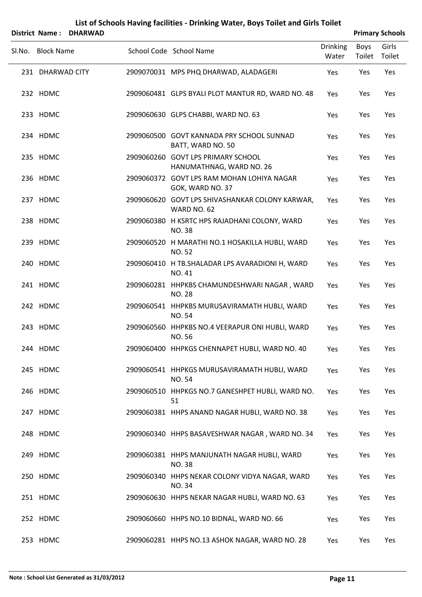|        | District Name: DHARWAD |                                                                 |                          |                | <b>Primary Schools</b> |
|--------|------------------------|-----------------------------------------------------------------|--------------------------|----------------|------------------------|
| SI.No. | <b>Block Name</b>      | School Code School Name                                         | <b>Drinking</b><br>Water | Boys<br>Toilet | Girls<br>Toilet        |
|        | 231 DHARWAD CITY       | 2909070031 MPS PHQ DHARWAD, ALADAGERI                           | Yes                      | Yes            | Yes                    |
|        | 232 HDMC               | 2909060481 GLPS BYALI PLOT MANTUR RD, WARD NO. 48               | Yes                      | Yes            | Yes                    |
|        | 233 HDMC               | 2909060630 GLPS CHABBI, WARD NO. 63                             | Yes                      | Yes            | Yes                    |
|        | 234 HDMC               | 2909060500 GOVT KANNADA PRY SCHOOL SUNNAD<br>BATT, WARD NO. 50  | Yes                      | Yes            | Yes                    |
|        | 235 HDMC               | 2909060260 GOVT LPS PRIMARY SCHOOL<br>HANUMATHNAG, WARD NO. 26  | Yes                      | Yes            | Yes                    |
|        | 236 HDMC               | 2909060372 GOVT LPS RAM MOHAN LOHIYA NAGAR<br>GOK, WARD NO. 37  | Yes                      | Yes            | Yes                    |
|        | 237 HDMC               | 2909060620 GOVT LPS SHIVASHANKAR COLONY KARWAR,<br>WARD NO. 62  | Yes                      | Yes            | Yes                    |
|        | 238 HDMC               | 2909060380 H KSRTC HPS RAJADHANI COLONY, WARD<br><b>NO.38</b>   | Yes                      | Yes            | Yes                    |
|        | 239 HDMC               | 2909060520 H MARATHI NO.1 HOSAKILLA HUBLI, WARD<br><b>NO.52</b> | Yes                      | Yes            | Yes                    |
|        | 240 HDMC               | 2909060410 H TB.SHALADAR LPS AVARADIONI H, WARD<br>NO. 41       | Yes                      | Yes            | Yes                    |
|        | 241 HDMC               | 2909060281 HHPKBS CHAMUNDESHWARI NAGAR, WARD<br><b>NO. 28</b>   | Yes                      | Yes            | Yes                    |
|        | 242 HDMC               | 2909060541 HHPKBS MURUSAVIRAMATH HUBLI, WARD<br><b>NO.54</b>    | Yes                      | Yes            | Yes                    |
|        | 243 HDMC               | 2909060560 HHPKBS NO.4 VEERAPUR ONI HUBLI, WARD<br>NO. 56       | <b>Yes</b>               | Yes            | Yes                    |
|        | 244 HDMC               | 2909060400 HHPKGS CHENNAPET HUBLI, WARD NO. 40                  | Yes                      | Yes            | Yes                    |
|        | 245 HDMC               | 2909060541 HHPKGS MURUSAVIRAMATH HUBLI, WARD<br><b>NO.54</b>    | Yes                      | Yes            | Yes                    |
|        | 246 HDMC               | 2909060510 HHPKGS NO.7 GANESHPET HUBLI, WARD NO.<br>51          | Yes                      | Yes            | Yes                    |
|        | 247 HDMC               | 2909060381 HHPS ANAND NAGAR HUBLI, WARD NO. 38                  | Yes                      | Yes            | Yes                    |
|        | 248 HDMC               | 2909060340 HHPS BASAVESHWAR NAGAR, WARD NO. 34                  | Yes                      | Yes            | Yes                    |
|        | 249 HDMC               | 2909060381 HHPS MANJUNATH NAGAR HUBLI, WARD<br><b>NO.38</b>     | Yes                      | Yes            | Yes                    |
|        | 250 HDMC               | 2909060340 HHPS NEKAR COLONY VIDYA NAGAR, WARD<br>NO. 34        | Yes                      | Yes            | Yes                    |
|        | 251 HDMC               | 2909060630 HHPS NEKAR NAGAR HUBLI, WARD NO. 63                  | Yes                      | Yes            | Yes                    |
|        | 252 HDMC               | 2909060660 HHPS NO.10 BIDNAL, WARD NO. 66                       | Yes                      | Yes            | Yes                    |
|        | 253 HDMC               | 2909060281 HHPS NO.13 ASHOK NAGAR, WARD NO. 28                  | Yes                      | Yes            | Yes                    |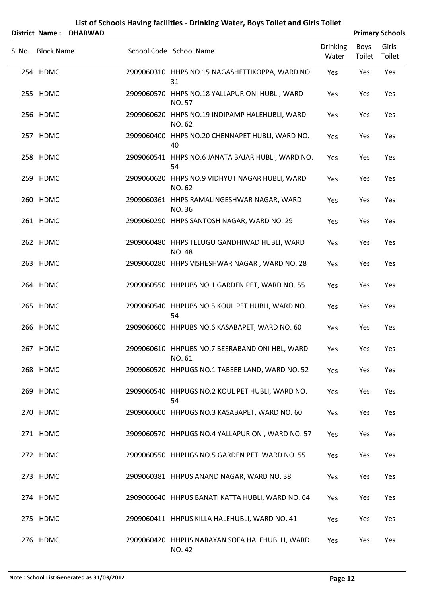|        | District Name: DHARWAD |                                                                 |                          |                | <b>Primary Schools</b> |
|--------|------------------------|-----------------------------------------------------------------|--------------------------|----------------|------------------------|
| Sl.No. | <b>Block Name</b>      | School Code School Name                                         | <b>Drinking</b><br>Water | Boys<br>Toilet | Girls<br>Toilet        |
|        | 254 HDMC               | 2909060310 HHPS NO.15 NAGASHETTIKOPPA, WARD NO.<br>31           | Yes                      | Yes            | Yes                    |
|        | 255 HDMC               | 2909060570 HHPS NO.18 YALLAPUR ONI HUBLI, WARD<br>NO. 57        | Yes                      | Yes            | Yes                    |
|        | 256 HDMC               | 2909060620 HHPS NO.19 INDIPAMP HALEHUBLI, WARD<br>NO. 62        | Yes                      | Yes            | Yes                    |
|        | 257 HDMC               | 2909060400 HHPS NO.20 CHENNAPET HUBLI, WARD NO.<br>40           | Yes                      | Yes            | Yes                    |
|        | 258 HDMC               | 2909060541 HHPS NO.6 JANATA BAJAR HUBLI, WARD NO.<br>54         | Yes                      | Yes            | Yes                    |
|        | 259 HDMC               | 2909060620 HHPS NO.9 VIDHYUT NAGAR HUBLI, WARD<br>NO. 62        | Yes                      | Yes            | Yes                    |
|        | 260 HDMC               | 2909060361 HHPS RAMALINGESHWAR NAGAR, WARD<br><b>NO.36</b>      | Yes                      | Yes            | Yes                    |
|        | 261 HDMC               | 2909060290 HHPS SANTOSH NAGAR, WARD NO. 29                      | Yes                      | Yes            | Yes                    |
|        | 262 HDMC               | 2909060480 HHPS TELUGU GANDHIWAD HUBLI, WARD<br>NO. 48          | Yes                      | Yes            | Yes                    |
|        | 263 HDMC               | 2909060280 HHPS VISHESHWAR NAGAR, WARD NO. 28                   | Yes                      | Yes            | Yes                    |
|        | 264 HDMC               | 2909060550 HHPUBS NO.1 GARDEN PET, WARD NO. 55                  | Yes                      | Yes            | Yes                    |
|        | 265 HDMC               | 2909060540 HHPUBS NO.5 KOUL PET HUBLI, WARD NO.<br>54           | Yes                      | Yes            | Yes                    |
|        | 266 HDMC               | 2909060600 HHPUBS NO.6 KASABAPET, WARD NO. 60                   | Yes                      | Yes            | Yes                    |
|        | 267 HDMC               | 2909060610 HHPUBS NO.7 BEERABAND ONI HBL, WARD<br>NO. 61        | Yes                      | Yes            | Yes                    |
|        | 268 HDMC               | 2909060520 HHPUGS NO.1 TABEEB LAND, WARD NO. 52                 | Yes                      | Yes            | Yes                    |
|        | 269 HDMC               | 2909060540 HHPUGS NO.2 KOUL PET HUBLI, WARD NO.<br>54           | Yes                      | Yes            | Yes                    |
|        | 270 HDMC               | 2909060600 HHPUGS NO.3 KASABAPET, WARD NO. 60                   | Yes                      | Yes            | Yes                    |
|        | 271 HDMC               | 2909060570 HHPUGS NO.4 YALLAPUR ONI, WARD NO. 57                | Yes                      | Yes            | Yes                    |
|        | 272 HDMC               | 2909060550 HHPUGS NO.5 GARDEN PET, WARD NO. 55                  | Yes                      | Yes            | Yes                    |
|        | 273 HDMC               | 2909060381 HHPUS ANAND NAGAR, WARD NO. 38                       | Yes                      | Yes            | Yes                    |
|        | 274 HDMC               | 2909060640 HHPUS BANATI KATTA HUBLI, WARD NO. 64                | Yes                      | Yes            | Yes                    |
|        | 275 HDMC               | 2909060411 HHPUS KILLA HALEHUBLI, WARD NO. 41                   | Yes                      | Yes            | Yes                    |
|        | 276 HDMC               | 2909060420 HHPUS NARAYAN SOFA HALEHUBLLI, WARD<br><b>NO. 42</b> | Yes                      | Yes            | Yes                    |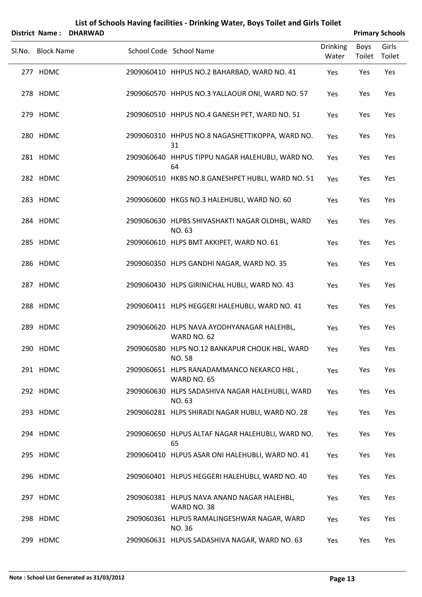| District Name: DHARWAD |                                                                |                          |                | <b>Primary Schools</b> |
|------------------------|----------------------------------------------------------------|--------------------------|----------------|------------------------|
| Sl.No. Block Name      | School Code School Name                                        | <b>Drinking</b><br>Water | Boys<br>Toilet | Girls<br>Toilet        |
| 277 HDMC               | 2909060410 HHPUS NO.2 BAHARBAD, WARD NO. 41                    | Yes                      | Yes            | Yes                    |
| 278 HDMC               | 2909060570 HHPUS NO.3 YALLAOUR ONI, WARD NO. 57                | Yes                      | Yes            | Yes                    |
| 279 HDMC               | 2909060510 HHPUS NO.4 GANESH PET, WARD NO. 51                  | Yes                      | Yes            | Yes                    |
| 280 HDMC               | 2909060310 HHPUS NO.8 NAGASHETTIKOPPA, WARD NO.<br>31          | Yes                      | Yes            | Yes                    |
| 281 HDMC               | 2909060640 HHPUS TIPPU NAGAR HALEHUBLI, WARD NO.<br>64         | Yes                      | Yes            | Yes                    |
| 282 HDMC               | 2909060510 HKBS NO.8 GANESHPET HUBLI, WARD NO. 51              | Yes                      | Yes            | Yes                    |
| 283 HDMC               | 2909060600 HKGS NO.3 HALEHUBLI, WARD NO. 60                    | Yes                      | Yes            | Yes                    |
| 284 HDMC               | 2909060630 HLPBS SHIVASHAKTI NAGAR OLDHBL, WARD<br>NO. 63      | Yes                      | Yes            | Yes                    |
| 285 HDMC               | 2909060610 HLPS BMT AKKIPET, WARD NO. 61                       | Yes                      | Yes            | Yes                    |
| 286 HDMC               | 2909060350 HLPS GANDHI NAGAR, WARD NO. 35                      | Yes                      | Yes            | Yes                    |
| 287 HDMC               | 2909060430 HLPS GIRINICHAL HUBLI, WARD NO. 43                  | Yes                      | Yes            | Yes                    |
| 288 HDMC               | 2909060411 HLPS HEGGERI HALEHUBLI, WARD NO. 41                 | Yes                      | Yes            | Yes                    |
| 289 HDMC               | 2909060620 HLPS NAVA AYODHYANAGAR HALEHBL,<br>WARD NO. 62      | Yes                      | Yes            | Yes                    |
| 290 HDMC               | 2909060580 HLPS NO.12 BANKAPUR CHOUK HBL, WARD<br><b>NO.58</b> | Yes                      | Yes            | Yes                    |
| 291 HDMC               | 2909060651 HLPS RANADAMMANCO NEKARCO HBL,<br>WARD NO. 65       | Yes                      | Yes            | Yes                    |
| 292 HDMC               | 2909060630 HLPS SADASHIVA NAGAR HALEHUBLI, WARD<br>NO. 63      | Yes                      | Yes            | Yes                    |
| 293 HDMC               | 2909060281 HLPS SHIRADI NAGAR HUBLI, WARD NO. 28               | Yes                      | Yes            | Yes                    |
| 294 HDMC               | 2909060650 HLPUS ALTAF NAGAR HALEHUBLI, WARD NO.<br>65         | Yes                      | Yes            | Yes                    |
| 295 HDMC               | 2909060410 HLPUS ASAR ONI HALEHUBLI, WARD NO. 41               | Yes                      | Yes            | Yes                    |
| 296 HDMC               | 2909060401 HLPUS HEGGERI HALEHUBLI, WARD NO. 40                | Yes                      | Yes            | Yes                    |
| 297 HDMC               | 2909060381 HLPUS NAVA ANAND NAGAR HALEHBL,<br>WARD NO. 38      | Yes                      | Yes            | Yes                    |
| 298 HDMC               | 2909060361 HLPUS RAMALINGESHWAR NAGAR, WARD<br>NO. 36          | Yes                      | Yes            | Yes                    |
| 299 HDMC               | 2909060631 HLPUS SADASHIVA NAGAR, WARD NO. 63                  | Yes                      | Yes            | Yes                    |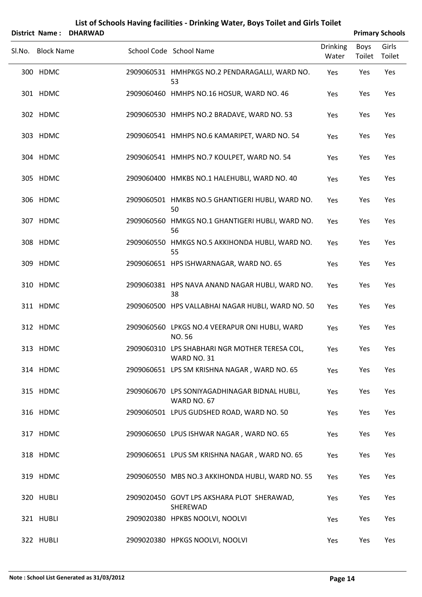| List of Schools Having facilities - Drinking Water, Boys Toilet and Girls Toilet |  |
|----------------------------------------------------------------------------------|--|
|----------------------------------------------------------------------------------|--|

|        |                   | District Name: DHARWAD |  |                                                                     |                          | <b>Primary Schools</b> |                 |  |
|--------|-------------------|------------------------|--|---------------------------------------------------------------------|--------------------------|------------------------|-----------------|--|
| Sl.No. | <b>Block Name</b> |                        |  | School Code School Name                                             | <b>Drinking</b><br>Water | Boys<br>Toilet         | Girls<br>Toilet |  |
|        | 300 HDMC          |                        |  | 2909060531 HMHPKGS NO.2 PENDARAGALLI, WARD NO.<br>53                | Yes                      | Yes                    | Yes             |  |
|        | 301 HDMC          |                        |  | 2909060460 HMHPS NO.16 HOSUR, WARD NO. 46                           | Yes                      | Yes                    | Yes             |  |
|        | 302 HDMC          |                        |  | 2909060530 HMHPS NO.2 BRADAVE, WARD NO. 53                          | Yes                      | Yes                    | Yes             |  |
|        | 303 HDMC          |                        |  | 2909060541 HMHPS NO.6 KAMARIPET, WARD NO. 54                        | Yes                      | Yes                    | Yes             |  |
|        | 304 HDMC          |                        |  | 2909060541 HMHPS NO.7 KOULPET, WARD NO. 54                          | Yes                      | Yes                    | Yes             |  |
|        | 305 HDMC          |                        |  | 2909060400 HMKBS NO.1 HALEHUBLI, WARD NO. 40                        | Yes                      | Yes                    | Yes             |  |
|        | 306 HDMC          |                        |  | 2909060501 HMKBS NO.5 GHANTIGERI HUBLI, WARD NO.<br>50              | Yes                      | Yes                    | Yes             |  |
|        | 307 HDMC          |                        |  | 2909060560 HMKGS NO.1 GHANTIGERI HUBLI, WARD NO.<br>56              | Yes                      | Yes                    | Yes             |  |
|        | 308 HDMC          |                        |  | 2909060550 HMKGS NO.5 AKKIHONDA HUBLI, WARD NO.<br>55               | Yes                      | Yes                    | Yes             |  |
|        | 309 HDMC          |                        |  | 2909060651 HPS ISHWARNAGAR, WARD NO. 65                             | Yes                      | Yes                    | Yes             |  |
|        | 310 HDMC          |                        |  | 2909060381 HPS NAVA ANAND NAGAR HUBLI, WARD NO.<br>38               | Yes                      | Yes                    | Yes             |  |
|        | 311 HDMC          |                        |  | 2909060500 HPS VALLABHAI NAGAR HUBLI, WARD NO. 50                   | Yes                      | Yes                    | Yes             |  |
|        | 312 HDMC          |                        |  | 2909060560 LPKGS NO.4 VEERAPUR ONI HUBLI, WARD<br>NO. 56            | Yes                      | Yes                    | Yes             |  |
|        | 313 HDMC          |                        |  | 2909060310 LPS SHABHARI NGR MOTHER TERESA COL,<br>WARD NO. 31       | Yes                      | Yes                    | Yes             |  |
|        | 314 HDMC          |                        |  | 2909060651 LPS SM KRISHNA NAGAR, WARD NO. 65                        | Yes                      | Yes                    | Yes             |  |
|        | 315 HDMC          |                        |  | 2909060670 LPS SONIYAGADHINAGAR BIDNAL HUBLI,<br><b>WARD NO. 67</b> | Yes                      | Yes                    | Yes             |  |
|        | 316 HDMC          |                        |  | 2909060501 LPUS GUDSHED ROAD, WARD NO. 50                           | Yes                      | Yes                    | Yes             |  |
|        | 317 HDMC          |                        |  | 2909060650 LPUS ISHWAR NAGAR, WARD NO. 65                           | Yes                      | Yes                    | Yes             |  |
|        | 318 HDMC          |                        |  | 2909060651 LPUS SM KRISHNA NAGAR, WARD NO. 65                       | Yes                      | Yes                    | Yes             |  |
|        | 319 HDMC          |                        |  | 2909060550 MBS NO.3 AKKIHONDA HUBLI, WARD NO. 55                    | Yes                      | Yes                    | Yes             |  |
|        | 320 HUBLI         |                        |  | 2909020450 GOVT LPS AKSHARA PLOT SHERAWAD,<br>SHEREWAD              | Yes                      | Yes                    | Yes             |  |
|        | 321 HUBLI         |                        |  | 2909020380 HPKBS NOOLVI, NOOLVI                                     | Yes                      | Yes                    | Yes             |  |
|        | 322 HUBLI         |                        |  | 2909020380 HPKGS NOOLVI, NOOLVI                                     | Yes                      | Yes                    | Yes             |  |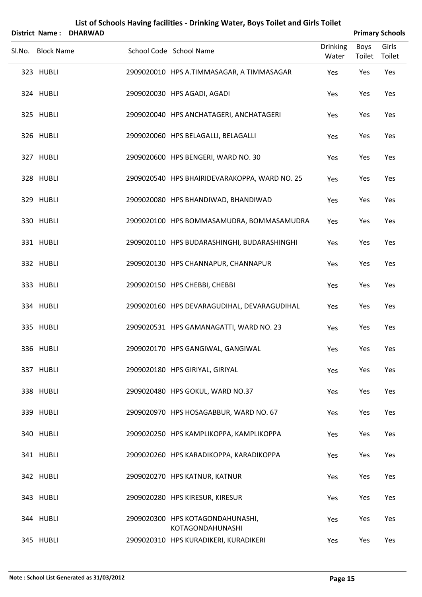|                   | District Name: DHARWAD |                                                      | <b>Primary Schools</b>   |                |                 |  |
|-------------------|------------------------|------------------------------------------------------|--------------------------|----------------|-----------------|--|
| Sl.No. Block Name |                        | School Code School Name                              | <b>Drinking</b><br>Water | Boys<br>Toilet | Girls<br>Toilet |  |
| 323 HUBLI         |                        | 2909020010 HPS A.TIMMASAGAR, A TIMMASAGAR            | Yes                      | Yes            | Yes             |  |
| 324 HUBLI         |                        | 2909020030 HPS AGADI, AGADI                          | Yes                      | Yes            | Yes             |  |
| 325 HUBLI         |                        | 2909020040 HPS ANCHATAGERI, ANCHATAGERI              | Yes                      | Yes            | Yes             |  |
| 326 HUBLI         |                        | 2909020060 HPS BELAGALLI, BELAGALLI                  | Yes                      | Yes            | Yes             |  |
| 327 HUBLI         |                        | 2909020600 HPS BENGERI, WARD NO. 30                  | Yes                      | Yes            | Yes             |  |
| 328 HUBLI         |                        | 2909020540 HPS BHAIRIDEVARAKOPPA, WARD NO. 25        | Yes                      | Yes            | Yes             |  |
| 329 HUBLI         |                        | 2909020080 HPS BHANDIWAD, BHANDIWAD                  | Yes                      | Yes            | Yes             |  |
| 330 HUBLI         |                        | 2909020100 HPS BOMMASAMUDRA, BOMMASAMUDRA            | Yes                      | Yes            | Yes             |  |
| 331 HUBLI         |                        | 2909020110 HPS BUDARASHINGHI, BUDARASHINGHI          | Yes                      | Yes            | Yes             |  |
| 332 HUBLI         |                        | 2909020130 HPS CHANNAPUR, CHANNAPUR                  | Yes                      | Yes            | Yes             |  |
| 333 HUBLI         |                        | 2909020150 HPS CHEBBI, CHEBBI                        | Yes                      | Yes            | Yes             |  |
| 334 HUBLI         |                        | 2909020160 HPS DEVARAGUDIHAL, DEVARAGUDIHAL          | Yes                      | Yes            | Yes             |  |
| 335 HUBLI         |                        | 2909020531 HPS GAMANAGATTI, WARD NO. 23              | Yes                      | Yes            | Yes             |  |
| 336 HUBLI         |                        | 2909020170 HPS GANGIWAL, GANGIWAL                    | Yes                      | Yes            | Yes             |  |
| 337 HUBLI         |                        | 2909020180 HPS GIRIYAL, GIRIYAL                      | Yes                      | Yes            | Yes             |  |
| 338 HUBLI         |                        | 2909020480 HPS GOKUL, WARD NO.37                     | Yes                      | Yes            | Yes             |  |
| 339 HUBLI         |                        | 2909020970 HPS HOSAGABBUR, WARD NO. 67               | Yes                      | Yes            | Yes             |  |
| 340 HUBLI         |                        | 2909020250 HPS KAMPLIKOPPA, KAMPLIKOPPA              | Yes                      | Yes            | Yes             |  |
| 341 HUBLI         |                        | 2909020260 HPS KARADIKOPPA, KARADIKOPPA              | Yes                      | Yes            | Yes             |  |
| 342 HUBLI         |                        | 2909020270 HPS KATNUR, KATNUR                        | Yes                      | Yes            | Yes             |  |
| 343 HUBLI         |                        | 2909020280 HPS KIRESUR, KIRESUR                      | Yes                      | Yes            | Yes             |  |
| 344 HUBLI         |                        | 2909020300 HPS KOTAGONDAHUNASHI,<br>KOTAGONDAHUNASHI | Yes                      | Yes            | Yes             |  |
| 345 HUBLI         |                        | 2909020310 HPS KURADIKERI, KURADIKERI                | Yes                      | Yes            | Yes             |  |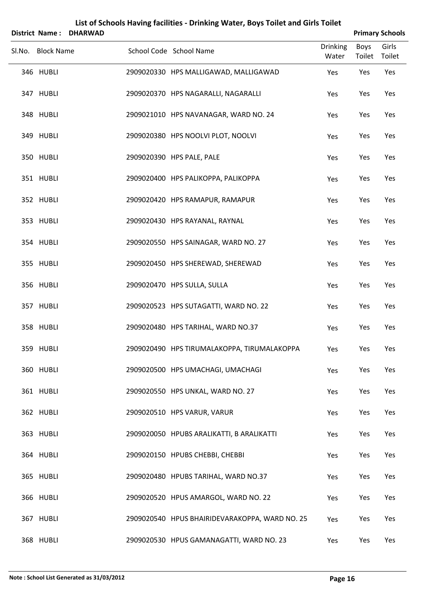| District Name: DHARWAD |                                                |                          |                | <b>Primary Schools</b> |
|------------------------|------------------------------------------------|--------------------------|----------------|------------------------|
| Sl.No. Block Name      | School Code School Name                        | <b>Drinking</b><br>Water | Boys<br>Toilet | Girls<br>Toilet        |
| 346 HUBLI              | 2909020330 HPS MALLIGAWAD, MALLIGAWAD          | Yes                      | Yes            | Yes                    |
| 347 HUBLI              | 2909020370 HPS NAGARALLI, NAGARALLI            | Yes                      | Yes            | Yes                    |
| 348 HUBLI              | 2909021010 HPS NAVANAGAR, WARD NO. 24          | Yes                      | Yes            | Yes                    |
| 349 HUBLI              | 2909020380 HPS NOOLVI PLOT, NOOLVI             | Yes                      | Yes            | Yes                    |
| 350 HUBLI              | 2909020390 HPS PALE, PALE                      | Yes                      | Yes            | Yes                    |
| 351 HUBLI              | 2909020400 HPS PALIKOPPA, PALIKOPPA            | Yes                      | Yes            | Yes                    |
| 352 HUBLI              | 2909020420 HPS RAMAPUR, RAMAPUR                | Yes                      | Yes            | Yes                    |
| 353 HUBLI              | 2909020430 HPS RAYANAL, RAYNAL                 | Yes                      | Yes            | Yes                    |
| 354 HUBLI              | 2909020550 HPS SAINAGAR, WARD NO. 27           | Yes                      | Yes            | Yes                    |
| 355 HUBLI              | 2909020450 HPS SHEREWAD, SHEREWAD              | Yes                      | Yes            | Yes                    |
| 356 HUBLI              | 2909020470 HPS SULLA, SULLA                    | Yes                      | Yes            | Yes                    |
| 357 HUBLI              | 2909020523 HPS SUTAGATTI, WARD NO. 22          | Yes                      | Yes            | Yes                    |
| 358 HUBLI              | 2909020480 HPS TARIHAL, WARD NO.37             | Yes                      | Yes            | Yes                    |
| 359 HUBLI              | 2909020490 HPS TIRUMALAKOPPA, TIRUMALAKOPPA    | Yes                      | Yes            | Yes                    |
| 360 HUBLI              | 2909020500 HPS UMACHAGI, UMACHAGI              | Yes                      | Yes            | Yes                    |
| 361 HUBLI              | 2909020550 HPS UNKAL, WARD NO. 27              | Yes                      | Yes            | Yes                    |
| 362 HUBLI              | 2909020510 HPS VARUR, VARUR                    | Yes                      | Yes            | Yes                    |
| 363 HUBLI              | 2909020050 HPUBS ARALIKATTI, B ARALIKATTI      | Yes                      | Yes            | Yes                    |
| 364 HUBLI              | 2909020150 HPUBS CHEBBI, CHEBBI                | Yes                      | Yes            | Yes                    |
| 365 HUBLI              | 2909020480 HPUBS TARIHAL, WARD NO.37           | Yes                      | Yes            | Yes                    |
| 366 HUBLI              | 2909020520 HPUS AMARGOL, WARD NO. 22           | Yes                      | Yes            | Yes                    |
| 367 HUBLI              | 2909020540 HPUS BHAIRIDEVARAKOPPA, WARD NO. 25 | Yes                      | Yes            | Yes                    |
| 368 HUBLI              | 2909020530 HPUS GAMANAGATTI, WARD NO. 23       | Yes                      | Yes            | Yes                    |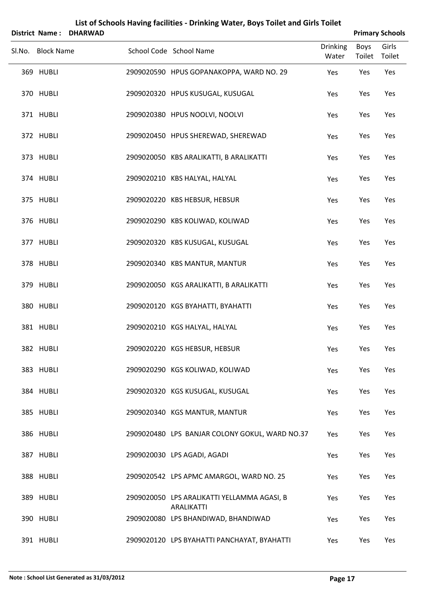|                   | District Name: DHARWAD |                                                                  |                          |                | <b>Primary Schools</b> |
|-------------------|------------------------|------------------------------------------------------------------|--------------------------|----------------|------------------------|
| Sl.No. Block Name |                        | School Code School Name                                          | <b>Drinking</b><br>Water | Boys<br>Toilet | Girls<br>Toilet        |
| 369 HUBLI         |                        | 2909020590 HPUS GOPANAKOPPA, WARD NO. 29                         | Yes                      | Yes            | Yes                    |
| 370 HUBLI         |                        | 2909020320 HPUS KUSUGAL, KUSUGAL                                 | Yes                      | Yes            | Yes                    |
| 371 HUBLI         |                        | 2909020380 HPUS NOOLVI, NOOLVI                                   | Yes                      | Yes            | Yes                    |
| 372 HUBLI         |                        | 2909020450 HPUS SHEREWAD, SHEREWAD                               | Yes                      | Yes            | Yes                    |
| 373 HUBLI         |                        | 2909020050 KBS ARALIKATTI, B ARALIKATTI                          | Yes                      | Yes            | Yes                    |
| 374 HUBLI         |                        | 2909020210 KBS HALYAL, HALYAL                                    | Yes                      | Yes            | Yes                    |
| 375 HUBLI         |                        | 2909020220 KBS HEBSUR, HEBSUR                                    | Yes                      | Yes            | Yes                    |
| 376 HUBLI         |                        | 2909020290 KBS KOLIWAD, KOLIWAD                                  | Yes                      | Yes            | Yes                    |
| 377 HUBLI         |                        | 2909020320 KBS KUSUGAL, KUSUGAL                                  | Yes                      | Yes            | Yes                    |
| 378 HUBLI         |                        | 2909020340 KBS MANTUR, MANTUR                                    | Yes                      | Yes            | Yes                    |
| 379 HUBLI         |                        | 2909020050 KGS ARALIKATTI, B ARALIKATTI                          | Yes                      | Yes            | Yes                    |
| 380 HUBLI         |                        | 2909020120 KGS BYAHATTI, BYAHATTI                                | Yes                      | Yes            | Yes                    |
| 381 HUBLI         |                        | 2909020210 KGS HALYAL, HALYAL                                    | Yes                      | Yes            | Yes                    |
| 382 HUBLI         |                        | 2909020220 KGS HEBSUR, HEBSUR                                    | Yes                      | Yes            | Yes                    |
| 383 HUBLI         |                        | 2909020290 KGS KOLIWAD, KOLIWAD                                  | Yes                      | Yes            | Yes                    |
| 384 HUBLI         |                        | 2909020320 KGS KUSUGAL, KUSUGAL                                  | Yes                      | Yes            | Yes                    |
| 385 HUBLI         |                        | 2909020340 KGS MANTUR, MANTUR                                    | Yes                      | Yes            | Yes                    |
| 386 HUBLI         |                        | 2909020480 LPS BANJAR COLONY GOKUL, WARD NO.37                   | Yes                      | Yes            | Yes                    |
| 387 HUBLI         |                        | 2909020030 LPS AGADI, AGADI                                      | Yes                      | Yes            | Yes                    |
| 388 HUBLI         |                        | 2909020542 LPS APMC AMARGOL, WARD NO. 25                         | Yes                      | Yes            | Yes                    |
| 389 HUBLI         |                        | 2909020050 LPS ARALIKATTI YELLAMMA AGASI, B<br><b>ARALIKATTI</b> | Yes                      | Yes            | Yes                    |
| 390 HUBLI         |                        | 2909020080 LPS BHANDIWAD, BHANDIWAD                              | Yes                      | Yes            | Yes                    |
| 391 HUBLI         |                        | 2909020120 LPS BYAHATTI PANCHAYAT, BYAHATTI                      | Yes                      | Yes            | Yes                    |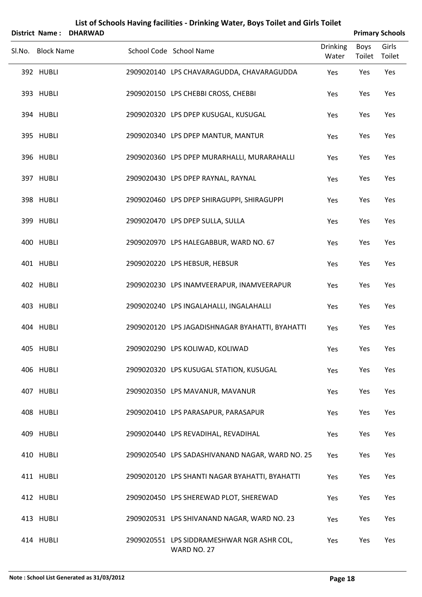|        | <b>District Name:</b> | <b>DHARWAD</b> |                                                           |                          |                | <b>Primary Schools</b> |
|--------|-----------------------|----------------|-----------------------------------------------------------|--------------------------|----------------|------------------------|
| SI.No. | <b>Block Name</b>     |                | School Code School Name                                   | <b>Drinking</b><br>Water | Boys<br>Toilet | Girls<br>Toilet        |
|        | 392 HUBLI             |                | 2909020140 LPS CHAVARAGUDDA, CHAVARAGUDDA                 | Yes                      | Yes            | Yes                    |
|        | 393 HUBLI             |                | 2909020150 LPS CHEBBI CROSS, CHEBBI                       | Yes                      | Yes            | Yes                    |
|        | 394 HUBLI             |                | 2909020320 LPS DPEP KUSUGAL, KUSUGAL                      | Yes                      | Yes            | Yes                    |
|        | 395 HUBLI             |                | 2909020340 LPS DPEP MANTUR, MANTUR                        | Yes                      | Yes            | Yes                    |
|        | 396 HUBLI             |                | 2909020360 LPS DPEP MURARHALLI, MURARAHALLI               | Yes                      | Yes            | Yes                    |
|        | 397 HUBLI             |                | 2909020430 LPS DPEP RAYNAL, RAYNAL                        | Yes                      | Yes            | Yes                    |
|        | 398 HUBLI             |                | 2909020460 LPS DPEP SHIRAGUPPI, SHIRAGUPPI                | Yes                      | Yes            | Yes                    |
|        | 399 HUBLI             |                | 2909020470 LPS DPEP SULLA, SULLA                          | Yes                      | Yes            | Yes                    |
|        | 400 HUBLI             |                | 2909020970 LPS HALEGABBUR, WARD NO. 67                    | Yes                      | Yes            | Yes                    |
|        | 401 HUBLI             |                | 2909020220 LPS HEBSUR, HEBSUR                             | Yes                      | Yes            | Yes                    |
|        | 402 HUBLI             |                | 2909020230 LPS INAMVEERAPUR, INAMVEERAPUR                 | Yes                      | Yes            | Yes                    |
|        | 403 HUBLI             |                | 2909020240 LPS INGALAHALLI, INGALAHALLI                   | Yes                      | Yes            | Yes                    |
|        | 404 HUBLI             |                | 2909020120 LPS JAGADISHNAGAR BYAHATTI, BYAHATTI           | Yes                      | Yes            | Yes                    |
|        | 405 HUBLI             |                | 2909020290 LPS KOLIWAD, KOLIWAD                           | Yes                      | Yes            | Yes                    |
|        | 406 HUBLI             |                | 2909020320 LPS KUSUGAL STATION, KUSUGAL                   | Yes                      | Yes            | Yes                    |
|        | 407 HUBLI             |                | 2909020350 LPS MAVANUR, MAVANUR                           | Yes                      | Yes            | Yes                    |
|        | 408 HUBLI             |                | 2909020410 LPS PARASAPUR, PARASAPUR                       | Yes                      | Yes            | Yes                    |
|        | 409 HUBLI             |                | 2909020440 LPS REVADIHAL, REVADIHAL                       | Yes                      | Yes            | Yes                    |
|        | 410 HUBLI             |                | 2909020540 LPS SADASHIVANAND NAGAR, WARD NO. 25           | Yes                      | Yes            | Yes                    |
|        | 411 HUBLI             |                | 2909020120 LPS SHANTI NAGAR BYAHATTI, BYAHATTI            | Yes                      | Yes            | Yes                    |
|        | 412 HUBLI             |                | 2909020450 LPS SHEREWAD PLOT, SHEREWAD                    | Yes                      | Yes            | Yes                    |
|        | 413 HUBLI             |                | 2909020531 LPS SHIVANAND NAGAR, WARD NO. 23               | Yes                      | Yes            | Yes                    |
|        | 414 HUBLI             |                | 2909020551 LPS SIDDRAMESHWAR NGR ASHR COL,<br>WARD NO. 27 | Yes                      | Yes            | Yes                    |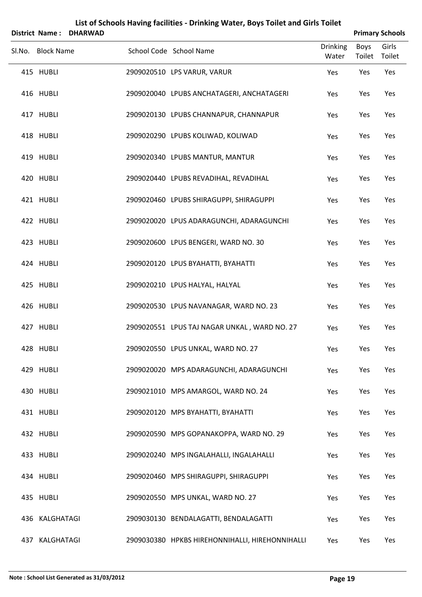| District Name: DHARWAD |                   |  |                                                 | <b>Primary Schools</b>   |                |                 |
|------------------------|-------------------|--|-------------------------------------------------|--------------------------|----------------|-----------------|
|                        | Sl.No. Block Name |  | School Code School Name                         | <b>Drinking</b><br>Water | Boys<br>Toilet | Girls<br>Toilet |
|                        | 415 HUBLI         |  | 2909020510 LPS VARUR, VARUR                     | Yes                      | Yes            | Yes             |
|                        | 416 HUBLI         |  | 2909020040 LPUBS ANCHATAGERI, ANCHATAGERI       | Yes                      | Yes            | Yes             |
|                        | 417 HUBLI         |  | 2909020130 LPUBS CHANNAPUR, CHANNAPUR           | Yes                      | Yes            | Yes             |
|                        | 418 HUBLI         |  | 2909020290 LPUBS KOLIWAD, KOLIWAD               | Yes                      | Yes            | Yes             |
|                        | 419 HUBLI         |  | 2909020340 LPUBS MANTUR, MANTUR                 | Yes                      | Yes            | Yes             |
|                        | 420 HUBLI         |  | 2909020440 LPUBS REVADIHAL, REVADIHAL           | Yes                      | Yes            | Yes             |
|                        | 421 HUBLI         |  | 2909020460 LPUBS SHIRAGUPPI, SHIRAGUPPI         | Yes                      | Yes            | Yes             |
|                        | 422 HUBLI         |  | 2909020020 LPUS ADARAGUNCHI, ADARAGUNCHI        | Yes                      | Yes            | Yes             |
|                        | 423 HUBLI         |  | 2909020600 LPUS BENGERI, WARD NO. 30            | Yes                      | Yes            | Yes             |
|                        | 424 HUBLI         |  | 2909020120 LPUS BYAHATTI, BYAHATTI              | Yes                      | Yes            | Yes             |
|                        | 425 HUBLI         |  | 2909020210 LPUS HALYAL, HALYAL                  | Yes                      | Yes            | Yes             |
|                        | 426 HUBLI         |  | 2909020530 LPUS NAVANAGAR, WARD NO. 23          | Yes                      | Yes            | Yes             |
|                        | 427 HUBLI         |  | 2909020551 LPUS TAJ NAGAR UNKAL, WARD NO. 27    | Yes                      | Yes            | Yes             |
|                        | 428 HUBLI         |  | 2909020550 LPUS UNKAL, WARD NO. 27              | Yes                      | Yes            | Yes             |
|                        | 429 HUBLI         |  | 2909020020 MPS ADARAGUNCHI, ADARAGUNCHI         | Yes                      | Yes            | Yes             |
|                        | 430 HUBLI         |  | 2909021010 MPS AMARGOL, WARD NO. 24             | Yes                      | Yes            | Yes             |
|                        | 431 HUBLI         |  | 2909020120 MPS BYAHATTI, BYAHATTI               | Yes                      | Yes            | Yes             |
|                        | 432 HUBLI         |  | 2909020590 MPS GOPANAKOPPA, WARD NO. 29         | Yes                      | Yes            | Yes             |
|                        | 433 HUBLI         |  | 2909020240 MPS INGALAHALLI, INGALAHALLI         | Yes                      | Yes            | Yes             |
|                        | 434 HUBLI         |  | 2909020460 MPS SHIRAGUPPI, SHIRAGUPPI           | Yes                      | Yes            | Yes             |
|                        | 435 HUBLI         |  | 2909020550 MPS UNKAL, WARD NO. 27               | Yes                      | Yes            | Yes             |
|                        | 436 KALGHATAGI    |  | 2909030130 BENDALAGATTI, BENDALAGATTI           | Yes                      | Yes            | Yes             |
| 437                    | KALGHATAGI        |  | 2909030380 HPKBS HIREHONNIHALLI, HIREHONNIHALLI | Yes                      | Yes            | Yes             |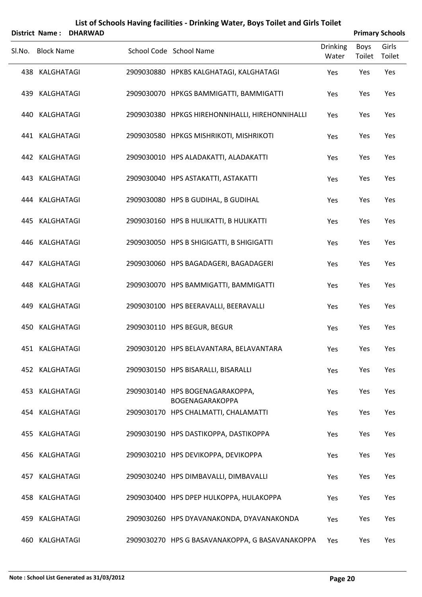|        | <b>District Name:</b> | <b>DHARWAD</b> |                                                    | <b>Primary Schools</b> |                       |                 |  |
|--------|-----------------------|----------------|----------------------------------------------------|------------------------|-----------------------|-----------------|--|
| Sl.No. | <b>Block Name</b>     |                | School Code School Name                            | Drinking<br>Water      | <b>Boys</b><br>Toilet | Girls<br>Toilet |  |
|        | 438 KALGHATAGI        |                | 2909030880 HPKBS KALGHATAGI, KALGHATAGI            | Yes                    | Yes                   | Yes             |  |
|        | 439 KALGHATAGI        |                | 2909030070 HPKGS BAMMIGATTI, BAMMIGATTI            | Yes                    | Yes                   | Yes             |  |
|        | 440 KALGHATAGI        |                | 2909030380 HPKGS HIREHONNIHALLI, HIREHONNIHALLI    | Yes                    | Yes                   | Yes             |  |
|        | 441 KALGHATAGI        |                | 2909030580 HPKGS MISHRIKOTI, MISHRIKOTI            | Yes                    | Yes                   | Yes             |  |
|        | 442 KALGHATAGI        |                | 2909030010 HPS ALADAKATTI, ALADAKATTI              | Yes                    | Yes                   | Yes             |  |
|        | 443 KALGHATAGI        |                | 2909030040 HPS ASTAKATTI, ASTAKATTI                | Yes                    | Yes                   | Yes             |  |
|        | 444 KALGHATAGI        |                | 2909030080 HPS B GUDIHAL, B GUDIHAL                | Yes                    | Yes                   | Yes             |  |
|        | 445 KALGHATAGI        |                | 2909030160 HPS B HULIKATTI, B HULIKATTI            | Yes                    | Yes                   | Yes             |  |
|        | 446 KALGHATAGI        |                | 2909030050 HPS B SHIGIGATTI, B SHIGIGATTI          | Yes                    | Yes                   | Yes             |  |
|        | 447 KALGHATAGI        |                | 2909030060 HPS BAGADAGERI, BAGADAGERI              | Yes                    | Yes                   | Yes             |  |
|        | 448 KALGHATAGI        |                | 2909030070 HPS BAMMIGATTI, BAMMIGATTI              | Yes                    | Yes                   | Yes             |  |
| 449    | KALGHATAGI            |                | 2909030100 HPS BEERAVALLI, BEERAVALLI              | Yes                    | Yes                   | Yes             |  |
| 450    | KALGHATAGI            |                | 2909030110 HPS BEGUR, BEGUR                        | Yes                    | Yes                   | Yes             |  |
|        | 451 KALGHATAGI        |                | 2909030120 HPS BELAVANTARA, BELAVANTARA            | Yes                    | Yes                   | Yes             |  |
|        | 452 KALGHATAGI        |                | 2909030150 HPS BISARALLI, BISARALLI                | Yes                    | Yes                   | Yes             |  |
|        | 453 KALGHATAGI        |                | 2909030140 HPS BOGENAGARAKOPPA,<br>BOGENAGARAKOPPA | Yes                    | Yes                   | Yes             |  |
|        | 454 KALGHATAGI        |                | 2909030170 HPS CHALMATTI, CHALAMATTI               | Yes                    | Yes                   | Yes             |  |
|        | 455 KALGHATAGI        |                | 2909030190 HPS DASTIKOPPA, DASTIKOPPA              | Yes                    | Yes                   | Yes             |  |
|        | 456 KALGHATAGI        |                | 2909030210 HPS DEVIKOPPA, DEVIKOPPA                | Yes                    | Yes                   | Yes             |  |
|        | 457 KALGHATAGI        |                | 2909030240 HPS DIMBAVALLI, DIMBAVALLI              | Yes                    | Yes                   | Yes             |  |
|        | 458 KALGHATAGI        |                | 2909030400 HPS DPEP HULKOPPA, HULAKOPPA            | Yes                    | Yes                   | Yes             |  |
|        | 459 KALGHATAGI        |                | 2909030260 HPS DYAVANAKONDA, DYAVANAKONDA          | Yes                    | Yes                   | Yes             |  |
|        | 460 KALGHATAGI        |                | 2909030270 HPS G BASAVANAKOPPA, G BASAVANAKOPPA    | Yes                    | Yes                   | Yes             |  |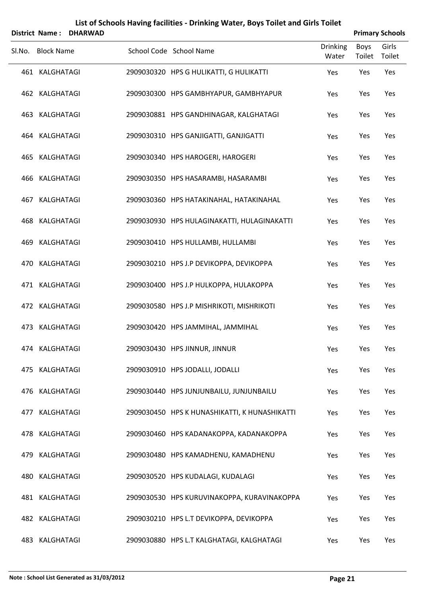| <b>District Name:</b> | <b>DHARWAD</b> | List of Schools Having facilities - Drinking Water, Boys Toilet and Girls Toilet |                          |                | <b>Primary Schools</b> |
|-----------------------|----------------|----------------------------------------------------------------------------------|--------------------------|----------------|------------------------|
| Sl.No. Block Name     |                | School Code School Name                                                          | <b>Drinking</b><br>Water | Boys<br>Toilet | Girls<br>Toilet        |
| 461 KALGHATAGI        |                | 2909030320 HPS G HULIKATTI, G HULIKATTI                                          | Yes                      | Yes            | Yes                    |
| 462 KALGHATAGI        |                | 2909030300 HPS GAMBHYAPUR, GAMBHYAPUR                                            | Yes                      | Yes            | Yes                    |
| 463 KALGHATAGI        |                | 2909030881 HPS GANDHINAGAR, KALGHATAGI                                           | Yes                      | Yes            | Yes                    |
| 464 KALGHATAGI        |                | 2909030310 HPS GANJIGATTI, GANJIGATTI                                            | Yes                      | Yes            | Yes                    |
| 465 KALGHATAGI        |                | 2909030340 HPS HAROGERI, HAROGERI                                                | Yes                      | Yes            | Yes                    |
| 466 KALGHATAGI        |                | 2909030350 HPS HASARAMBI, HASARAMBI                                              | Yes                      | Yes            | Yes                    |
| 467 KALGHATAGI        |                | 2909030360 HPS HATAKINAHAL, HATAKINAHAL                                          | Yes                      | Yes            | Yes                    |
| 468 KALGHATAGI        |                | 2909030930 HPS HULAGINAKATTI, HULAGINAKATTI                                      | Yes                      | Yes            | Yes                    |
| 469 KALGHATAGI        |                | 2909030410 HPS HULLAMBI, HULLAMBI                                                | Yes                      | Yes            | Yes                    |
| 470 KALGHATAGI        |                | 2909030210 HPS J.P DEVIKOPPA, DEVIKOPPA                                          | Yes                      | Yes            | Yes                    |
| 471 KALGHATAGI        |                | 2909030400 HPS J.P HULKOPPA, HULAKOPPA                                           | Yes                      | Yes            | Yes                    |
| 472 KALGHATAGI        |                | 2909030580 HPS J.P MISHRIKOTI, MISHRIKOTI                                        | Yes                      | Yes            | Yes                    |
| 473 KALGHATAGI        |                | 2909030420 HPS JAMMIHAL, JAMMIHAL                                                | Yes                      | Yes            | Yes                    |
| 474 KALGHATAGI        |                | 2909030430 HPS JINNUR, JINNUR                                                    | Yes                      | Yes            | Yes                    |
| 475 KALGHATAGI        |                | 2909030910 HPS JODALLI, JODALLI                                                  | Yes                      | Yes            | Yes                    |
| 476 KALGHATAGI        |                | 2909030440 HPS JUNJUNBAILU, JUNJUNBAILU                                          | Yes                      | Yes            | Yes                    |
| 477 KALGHATAGI        |                | 2909030450 HPS K HUNASHIKATTI, K HUNASHIKATTI                                    | Yes                      | Yes            | Yes                    |
| 478 KALGHATAGI        |                | 2909030460 HPS KADANAKOPPA, KADANAKOPPA                                          | Yes                      | Yes            | Yes                    |
| 479 KALGHATAGI        |                | 2909030480 HPS KAMADHENU, KAMADHENU                                              | Yes                      | Yes            | Yes                    |
| 480 KALGHATAGI        |                | 2909030520 HPS KUDALAGI, KUDALAGI                                                | Yes                      | Yes            | Yes                    |
| 481 KALGHATAGI        |                | 2909030530 HPS KURUVINAKOPPA, KURAVINAKOPPA                                      | Yes                      | Yes            | Yes                    |
| 482 KALGHATAGI        |                | 2909030210 HPS L.T DEVIKOPPA, DEVIKOPPA                                          | Yes                      | Yes            | Yes                    |
| 483 KALGHATAGI        |                | 2909030880 HPS L.T KALGHATAGI, KALGHATAGI                                        | Yes                      | Yes            | Yes                    |

#### **Note : School List Generated as 31/03/2012 Page 21**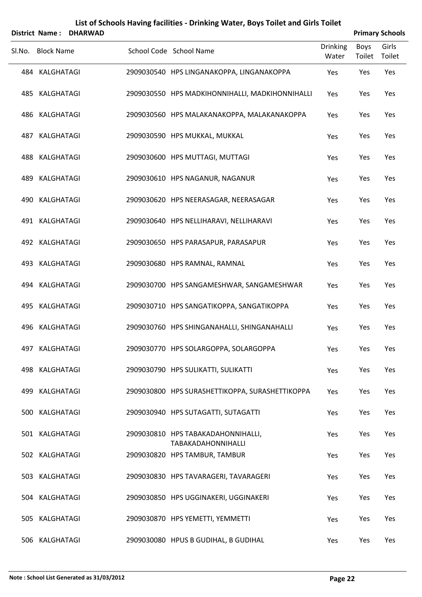|        | <b>District Name:</b> | <b>DHARWAD</b> |  |                                                          |                          |                | <b>Primary Schools</b> |  |  |  |
|--------|-----------------------|----------------|--|----------------------------------------------------------|--------------------------|----------------|------------------------|--|--|--|
| SI.No. | <b>Block Name</b>     |                |  | School Code School Name                                  | <b>Drinking</b><br>Water | Boys<br>Toilet | Girls<br>Toilet        |  |  |  |
|        | 484 KALGHATAGI        |                |  | 2909030540 HPS LINGANAKOPPA, LINGANAKOPPA                | Yes                      | Yes            | Yes                    |  |  |  |
|        | 485 KALGHATAGI        |                |  | 2909030550 HPS MADKIHONNIHALLI, MADKIHONNIHALLI          | Yes                      | Yes            | Yes                    |  |  |  |
|        | 486 KALGHATAGI        |                |  | 2909030560 HPS MALAKANAKOPPA, MALAKANAKOPPA              | Yes                      | Yes            | Yes                    |  |  |  |
|        | 487 KALGHATAGI        |                |  | 2909030590 HPS MUKKAL, MUKKAL                            | Yes                      | Yes            | Yes                    |  |  |  |
|        | 488 KALGHATAGI        |                |  | 2909030600 HPS MUTTAGI, MUTTAGI                          | Yes                      | Yes            | Yes                    |  |  |  |
|        | 489 KALGHATAGI        |                |  | 2909030610 HPS NAGANUR, NAGANUR                          | Yes                      | Yes            | Yes                    |  |  |  |
|        | 490 KALGHATAGI        |                |  | 2909030620 HPS NEERASAGAR, NEERASAGAR                    | Yes                      | Yes            | Yes                    |  |  |  |
|        | 491 KALGHATAGI        |                |  | 2909030640 HPS NELLIHARAVI, NELLIHARAVI                  | Yes                      | Yes            | Yes                    |  |  |  |
|        | 492 KALGHATAGI        |                |  | 2909030650 HPS PARASAPUR, PARASAPUR                      | Yes                      | Yes            | Yes                    |  |  |  |
|        | 493 KALGHATAGI        |                |  | 2909030680 HPS RAMNAL, RAMNAL                            | Yes                      | Yes            | Yes                    |  |  |  |
|        | 494 KALGHATAGI        |                |  | 2909030700 HPS SANGAMESHWAR, SANGAMESHWAR                | Yes                      | Yes            | Yes                    |  |  |  |
|        | 495 KALGHATAGI        |                |  | 2909030710 HPS SANGATIKOPPA, SANGATIKOPPA                | Yes                      | Yes            | Yes                    |  |  |  |
|        | 496 KALGHATAGI        |                |  | 2909030760 HPS SHINGANAHALLI, SHINGANAHALLI              | Yes                      | Yes            | Yes                    |  |  |  |
|        | 497 KALGHATAGI        |                |  | 2909030770 HPS SOLARGOPPA, SOLARGOPPA                    | Yes                      | Yes            | Yes                    |  |  |  |
|        | 498 KALGHATAGI        |                |  | 2909030790 HPS SULIKATTI, SULIKATTI                      | Yes                      | Yes            | Yes                    |  |  |  |
|        | 499 KALGHATAGI        |                |  | 2909030800 HPS SURASHETTIKOPPA, SURASHETTIKOPPA          | Yes                      | Yes            | Yes                    |  |  |  |
|        | 500 KALGHATAGI        |                |  | 2909030940 HPS SUTAGATTI, SUTAGATTI                      | Yes                      | Yes            | Yes                    |  |  |  |
|        | 501 KALGHATAGI        |                |  | 2909030810 HPS TABAKADAHONNIHALLI,<br>TABAKADAHONNIHALLI | Yes                      | Yes            | Yes                    |  |  |  |
|        | 502 KALGHATAGI        |                |  | 2909030820 HPS TAMBUR, TAMBUR                            | Yes                      | Yes            | Yes                    |  |  |  |
|        | 503 KALGHATAGI        |                |  | 2909030830 HPS TAVARAGERI, TAVARAGERI                    | Yes                      | Yes            | Yes                    |  |  |  |
|        | 504 KALGHATAGI        |                |  | 2909030850 HPS UGGINAKERI, UGGINAKERI                    | Yes                      | Yes            | Yes                    |  |  |  |
|        | 505 KALGHATAGI        |                |  | 2909030870 HPS YEMETTI, YEMMETTI                         | Yes                      | Yes            | Yes                    |  |  |  |
|        | 506 KALGHATAGI        |                |  | 2909030080 HPUS B GUDIHAL, B GUDIHAL                     | Yes                      | Yes            | Yes                    |  |  |  |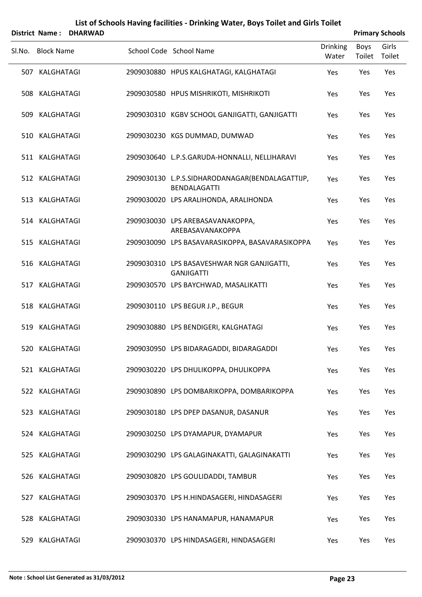|     |                   | District Name: DHARWAD |                                                                        |                          |                       | <b>Primary Schools</b> |
|-----|-------------------|------------------------|------------------------------------------------------------------------|--------------------------|-----------------------|------------------------|
|     | Sl.No. Block Name |                        | School Code School Name                                                | <b>Drinking</b><br>Water | <b>Boys</b><br>Toilet | Girls<br>Toilet        |
|     | 507 KALGHATAGI    |                        | 2909030880 HPUS KALGHATAGI, KALGHATAGI                                 | Yes                      | Yes                   | Yes                    |
|     | 508 KALGHATAGI    |                        | 2909030580 HPUS MISHRIKOTI, MISHRIKOTI                                 | Yes                      | Yes                   | Yes                    |
|     | 509 KALGHATAGI    |                        | 2909030310 KGBV SCHOOL GANJIGATTI, GANJIGATTI                          | Yes                      | Yes                   | Yes                    |
|     | 510 KALGHATAGI    |                        | 2909030230 KGS DUMMAD, DUMWAD                                          | Yes                      | Yes                   | Yes                    |
|     | 511 KALGHATAGI    |                        | 2909030640 L.P.S.GARUDA-HONNALLI, NELLIHARAVI                          | Yes                      | Yes                   | Yes                    |
|     | 512 KALGHATAGI    |                        | 2909030130 L.P.S.SIDHARODANAGAR(BENDALAGATTIJP,<br><b>BENDALAGATTI</b> | Yes                      | Yes                   | Yes                    |
|     | 513 KALGHATAGI    |                        | 2909030020 LPS ARALIHONDA, ARALIHONDA                                  | Yes                      | Yes                   | Yes                    |
|     | 514 KALGHATAGI    |                        | 2909030030 LPS AREBASAVANAKOPPA,<br>AREBASAVANAKOPPA                   | Yes                      | Yes                   | Yes                    |
|     | 515 KALGHATAGI    |                        | 2909030090 LPS BASAVARASIKOPPA, BASAVARASIKOPPA                        | Yes                      | Yes                   | Yes                    |
|     | 516 KALGHATAGI    |                        | 2909030310 LPS BASAVESHWAR NGR GANJIGATTI,<br><b>GANJIGATTI</b>        | Yes                      | Yes                   | Yes                    |
|     | 517 KALGHATAGI    |                        | 2909030570 LPS BAYCHWAD, MASALIKATTI                                   | Yes                      | Yes                   | Yes                    |
|     | 518 KALGHATAGI    |                        | 2909030110 LPS BEGUR J.P., BEGUR                                       | Yes                      | Yes                   | Yes                    |
|     | 519 KALGHATAGI    |                        | 2909030880 LPS BENDIGERI, KALGHATAGI                                   | Yes                      | Yes                   | Yes                    |
|     | 520 KALGHATAGI    |                        | 2909030950 LPS BIDARAGADDI, BIDARAGADDI                                | Yes                      | Yes                   | Yes                    |
|     | 521 KALGHATAGI    |                        | 2909030220 LPS DHULIKOPPA, DHULIKOPPA                                  | Yes                      | Yes                   | Yes                    |
|     | 522 KALGHATAGI    |                        | 2909030890 LPS DOMBARIKOPPA, DOMBARIKOPPA                              | Yes                      | Yes                   | Yes                    |
|     | 523 KALGHATAGI    |                        | 2909030180 LPS DPEP DASANUR, DASANUR                                   | Yes                      | Yes                   | Yes                    |
|     | 524 KALGHATAGI    |                        | 2909030250 LPS DYAMAPUR, DYAMAPUR                                      | Yes                      | Yes                   | Yes                    |
|     | 525 KALGHATAGI    |                        | 2909030290 LPS GALAGINAKATTI, GALAGINAKATTI                            | Yes                      | Yes                   | Yes                    |
|     | 526 KALGHATAGI    |                        | 2909030820 LPS GOULIDADDI, TAMBUR                                      | Yes                      | Yes                   | Yes                    |
| 527 | KALGHATAGI        |                        | 2909030370 LPS H.HINDASAGERI, HINDASAGERI                              | Yes                      | Yes                   | Yes                    |
|     | 528 KALGHATAGI    |                        | 2909030330 LPS HANAMAPUR, HANAMAPUR                                    | Yes                      | Yes                   | Yes                    |
| 529 | KALGHATAGI        |                        | 2909030370 LPS HINDASAGERI, HINDASAGERI                                | Yes                      | Yes                   | Yes                    |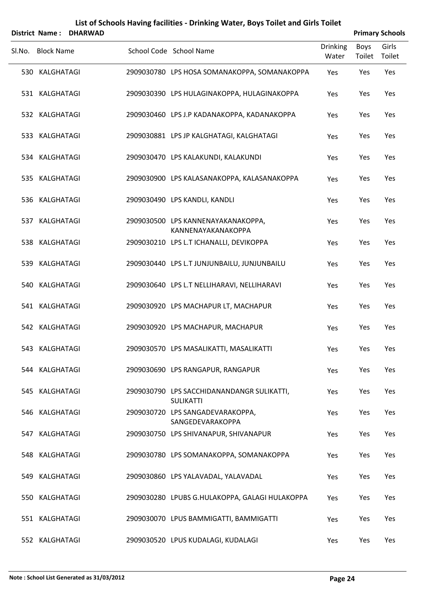|        | <b>District Name:</b> | <b>DHARWAD</b> | List of Schools Having facilities - Drinking Water, Boys Toilet and Girls Toilet |                 |        | <b>Primary Schools</b> |
|--------|-----------------------|----------------|----------------------------------------------------------------------------------|-----------------|--------|------------------------|
| SI.No. | <b>Block Name</b>     |                | School Code School Name                                                          | <b>Drinking</b> | Boys   | Girls                  |
|        |                       |                |                                                                                  | Water           | Toilet | Toilet                 |
|        | 530 KALGHATAGI        |                | 2909030780 LPS HOSA SOMANAKOPPA, SOMANAKOPPA                                     | Yes             | Yes    | Yes                    |
|        | 531 KALGHATAGI        |                | 2909030390 LPS HULAGINAKOPPA, HULAGINAKOPPA                                      | Yes             | Yes    | Yes                    |
|        | 532 KALGHATAGI        |                | 2909030460 LPS J.P KADANAKOPPA, KADANAKOPPA                                      | Yes             | Yes    | Yes                    |
|        | 533 KALGHATAGI        |                | 2909030881 LPS JP KALGHATAGI, KALGHATAGI                                         | Yes             | Yes    | Yes                    |
|        | 534 KALGHATAGI        |                | 2909030470 LPS KALAKUNDI, KALAKUNDI                                              | Yes             | Yes    | Yes                    |
|        | 535 KALGHATAGI        |                | 2909030900 LPS KALASANAKOPPA, KALASANAKOPPA                                      | Yes             | Yes    | Yes                    |
|        | 536 KALGHATAGI        |                | 2909030490 LPS KANDLI, KANDLI                                                    | Yes             | Yes    | Yes                    |
|        | 537 KALGHATAGI        |                | 2909030500 LPS KANNENAYAKANAKOPPA,<br>KANNENAYAKANAKOPPA                         | Yes             | Yes    | Yes                    |
|        | 538 KALGHATAGI        |                | 2909030210 LPS L.T ICHANALLI, DEVIKOPPA                                          | Yes             | Yes    | Yes                    |
|        | 539 KALGHATAGI        |                | 2909030440 LPS L.T JUNJUNBAILU, JUNJUNBAILU                                      | Yes             | Yes    | Yes                    |
|        | 540 KALGHATAGI        |                | 2909030640 LPS L.T NELLIHARAVI, NELLIHARAVI                                      | Yes             | Yes    | Yes                    |
|        | 541 KALGHATAGI        |                | 2909030920 LPS MACHAPUR LT, MACHAPUR                                             | Yes             | Yes    | Yes                    |
|        | 542 KALGHATAGI        |                | 2909030920 LPS MACHAPUR, MACHAPUR                                                | Yes             | Yes    | Yes                    |
|        | 543 KALGHATAGI        |                | 2909030570 LPS MASALIKATTI, MASALIKATTI                                          | Yes             | Yes    | Yes                    |
|        | 544 KALGHATAGI        |                | 2909030690 LPS RANGAPUR, RANGAPUR                                                | Yes             | Yes    | Yes                    |
|        | 545 KALGHATAGI        |                | 2909030790 LPS SACCHIDANANDANGR SULIKATTI,<br><b>SULIKATTI</b>                   | Yes             | Yes    | Yes                    |
|        | 546 KALGHATAGI        |                | 2909030720 LPS SANGADEVARAKOPPA,<br>SANGEDEVARAKOPPA                             | Yes             | Yes    | Yes                    |
|        | 547 KALGHATAGI        |                | 2909030750 LPS SHIVANAPUR, SHIVANAPUR                                            | Yes             | Yes    | Yes                    |
|        | 548 KALGHATAGI        |                | 2909030780 LPS SOMANAKOPPA, SOMANAKOPPA                                          | Yes             | Yes    | Yes                    |
|        | 549 KALGHATAGI        |                | 2909030860 LPS YALAVADAL, YALAVADAL                                              | Yes             | Yes    | Yes                    |
|        | 550 KALGHATAGI        |                | 2909030280 LPUBS G.HULAKOPPA, GALAGI HULAKOPPA                                   | Yes             | Yes    | Yes                    |
|        | 551 KALGHATAGI        |                | 2909030070 LPUS BAMMIGATTI, BAMMIGATTI                                           | Yes             | Yes    | Yes                    |
|        | 552 KALGHATAGI        |                | 2909030520 LPUS KUDALAGI, KUDALAGI                                               | Yes             | Yes    | Yes                    |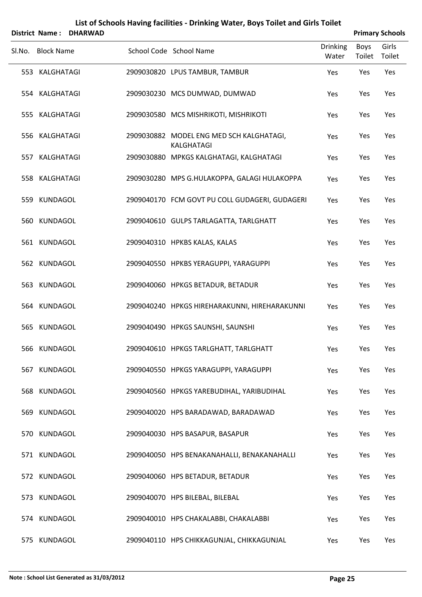| <b>District Name:</b> |                   | <b>DHARWAD</b> |  |                                                        |                          |                       | <b>Primary Schools</b> |  |  |  |
|-----------------------|-------------------|----------------|--|--------------------------------------------------------|--------------------------|-----------------------|------------------------|--|--|--|
| Sl.No.                | <b>Block Name</b> |                |  | School Code School Name                                | <b>Drinking</b><br>Water | <b>Boys</b><br>Toilet | Girls<br>Toilet        |  |  |  |
|                       | 553 KALGHATAGI    |                |  | 2909030820 LPUS TAMBUR, TAMBUR                         | Yes                      | Yes                   | Yes                    |  |  |  |
|                       | 554 KALGHATAGI    |                |  | 2909030230 MCS DUMWAD, DUMWAD                          | Yes                      | Yes                   | Yes                    |  |  |  |
|                       | 555 KALGHATAGI    |                |  | 2909030580 MCS MISHRIKOTI, MISHRIKOTI                  | Yes                      | Yes                   | Yes                    |  |  |  |
|                       | 556 KALGHATAGI    |                |  | 2909030882 MODEL ENG MED SCH KALGHATAGI,<br>KALGHATAGI | Yes                      | Yes                   | Yes                    |  |  |  |
|                       | 557 KALGHATAGI    |                |  | 2909030880 MPKGS KALGHATAGI, KALGHATAGI                | Yes                      | Yes                   | Yes                    |  |  |  |
|                       | 558 KALGHATAGI    |                |  | 2909030280 MPS G.HULAKOPPA, GALAGI HULAKOPPA           | Yes                      | Yes                   | Yes                    |  |  |  |
|                       | 559 KUNDAGOL      |                |  | 2909040170 FCM GOVT PU COLL GUDAGERI, GUDAGERI         | Yes                      | Yes                   | Yes                    |  |  |  |
|                       | 560 KUNDAGOL      |                |  | 2909040610 GULPS TARLAGATTA, TARLGHATT                 | Yes                      | Yes                   | Yes                    |  |  |  |
|                       | 561 KUNDAGOL      |                |  | 2909040310 HPKBS KALAS, KALAS                          | Yes                      | Yes                   | Yes                    |  |  |  |
|                       | 562 KUNDAGOL      |                |  | 2909040550 HPKBS YERAGUPPI, YARAGUPPI                  | Yes                      | Yes                   | Yes                    |  |  |  |
|                       | 563 KUNDAGOL      |                |  | 2909040060 HPKGS BETADUR, BETADUR                      | Yes                      | Yes                   | Yes                    |  |  |  |
|                       | 564 KUNDAGOL      |                |  | 2909040240 HPKGS HIREHARAKUNNI, HIREHARAKUNNI          | Yes                      | Yes                   | Yes                    |  |  |  |
|                       | 565 KUNDAGOL      |                |  | 2909040490 HPKGS SAUNSHI, SAUNSHI                      | Yes                      | Yes                   | Yes                    |  |  |  |
|                       | 566 KUNDAGOL      |                |  | 2909040610 HPKGS TARLGHATT, TARLGHATT                  | Yes                      | Yes                   | Yes                    |  |  |  |
|                       | 567 KUNDAGOL      |                |  | 2909040550 HPKGS YARAGUPPI, YARAGUPPI                  | Yes                      | Yes                   | Yes                    |  |  |  |
|                       | 568 KUNDAGOL      |                |  | 2909040560 HPKGS YAREBUDIHAL, YARIBUDIHAL              | Yes                      | Yes                   | Yes                    |  |  |  |
|                       | 569 KUNDAGOL      |                |  | 2909040020 HPS BARADAWAD, BARADAWAD                    | Yes                      | Yes                   | Yes                    |  |  |  |
|                       | 570 KUNDAGOL      |                |  | 2909040030 HPS BASAPUR, BASAPUR                        | Yes                      | Yes                   | Yes                    |  |  |  |
|                       | 571 KUNDAGOL      |                |  | 2909040050 HPS BENAKANAHALLI, BENAKANAHALLI            | Yes                      | Yes                   | Yes                    |  |  |  |
|                       | 572 KUNDAGOL      |                |  | 2909040060 HPS BETADUR, BETADUR                        | Yes                      | Yes                   | Yes                    |  |  |  |
|                       | 573 KUNDAGOL      |                |  | 2909040070 HPS BILEBAL, BILEBAL                        | Yes                      | Yes                   | Yes                    |  |  |  |
|                       | 574 KUNDAGOL      |                |  | 2909040010 HPS CHAKALABBI, CHAKALABBI                  | Yes                      | Yes                   | Yes                    |  |  |  |
|                       | 575 KUNDAGOL      |                |  | 2909040110 HPS CHIKKAGUNJAL, CHIKKAGUNJAL              | Yes                      | Yes                   | Yes                    |  |  |  |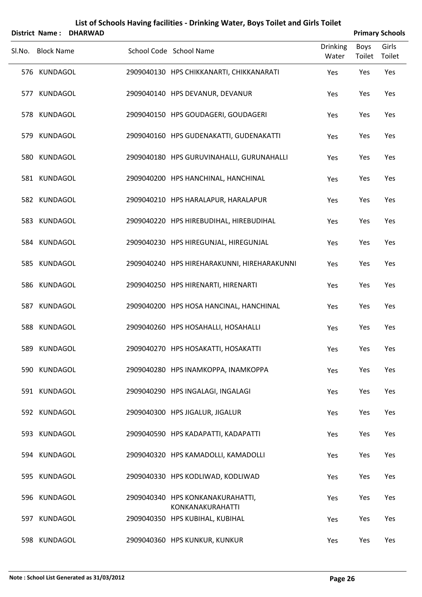| <b>District Name:</b> | <b>DHARWAD</b> |  |                                                      |                          | <b>Primary Schools</b> |                 |  |  |
|-----------------------|----------------|--|------------------------------------------------------|--------------------------|------------------------|-----------------|--|--|
| Sl.No. Block Name     |                |  | School Code School Name                              | <b>Drinking</b><br>Water | <b>Boys</b><br>Toilet  | Girls<br>Toilet |  |  |
| 576 KUNDAGOL          |                |  | 2909040130 HPS CHIKKANARTI, CHIKKANARATI             | Yes                      | Yes                    | Yes             |  |  |
| 577 KUNDAGOL          |                |  | 2909040140 HPS DEVANUR, DEVANUR                      | Yes                      | Yes                    | Yes             |  |  |
| 578 KUNDAGOL          |                |  | 2909040150 HPS GOUDAGERI, GOUDAGERI                  | Yes                      | Yes                    | Yes             |  |  |
| 579 KUNDAGOL          |                |  | 2909040160 HPS GUDENAKATTI, GUDENAKATTI              | Yes                      | Yes                    | Yes             |  |  |
| 580 KUNDAGOL          |                |  | 2909040180 HPS GURUVINAHALLI, GURUNAHALLI            | Yes                      | Yes                    | Yes             |  |  |
| 581 KUNDAGOL          |                |  | 2909040200 HPS HANCHINAL, HANCHINAL                  | Yes                      | Yes                    | Yes             |  |  |
| 582 KUNDAGOL          |                |  | 2909040210 HPS HARALAPUR, HARALAPUR                  | Yes                      | Yes                    | Yes             |  |  |
| 583 KUNDAGOL          |                |  | 2909040220 HPS HIREBUDIHAL, HIREBUDIHAL              | Yes                      | Yes                    | Yes             |  |  |
| 584 KUNDAGOL          |                |  | 2909040230 HPS HIREGUNJAL, HIREGUNJAL                | Yes                      | Yes                    | Yes             |  |  |
| 585 KUNDAGOL          |                |  | 2909040240 HPS HIREHARAKUNNI, HIREHARAKUNNI          | Yes                      | Yes                    | Yes             |  |  |
| 586 KUNDAGOL          |                |  | 2909040250 HPS HIRENARTI, HIRENARTI                  | Yes                      | Yes                    | Yes             |  |  |
| 587 KUNDAGOL          |                |  | 2909040200 HPS HOSA HANCINAL, HANCHINAL              | Yes                      | Yes                    | Yes             |  |  |
| 588 KUNDAGOL          |                |  | 2909040260 HPS HOSAHALLI, HOSAHALLI                  | Yes                      | Yes                    | Yes             |  |  |
| 589 KUNDAGOL          |                |  | 2909040270 HPS HOSAKATTI, HOSAKATTI                  | Yes                      | Yes                    | Yes             |  |  |
| 590 KUNDAGOL          |                |  | 2909040280 HPS INAMKOPPA, INAMKOPPA                  | Yes                      | Yes                    | Yes             |  |  |
| 591 KUNDAGOL          |                |  | 2909040290 HPS INGALAGI, INGALAGI                    | Yes                      | Yes                    | Yes             |  |  |
| 592 KUNDAGOL          |                |  | 2909040300 HPS JIGALUR, JIGALUR                      | Yes                      | Yes                    | Yes             |  |  |
| 593 KUNDAGOL          |                |  | 2909040590 HPS KADAPATTI, KADAPATTI                  | Yes                      | Yes                    | Yes             |  |  |
| 594 KUNDAGOL          |                |  | 2909040320 HPS KAMADOLLI, KAMADOLLI                  | Yes                      | Yes                    | Yes             |  |  |
| 595 KUNDAGOL          |                |  | 2909040330 HPS KODLIWAD, KODLIWAD                    | Yes                      | Yes                    | Yes             |  |  |
| 596 KUNDAGOL          |                |  | 2909040340 HPS KONKANAKURAHATTI,<br>KONKANAKURAHATTI | Yes                      | Yes                    | Yes             |  |  |
| 597 KUNDAGOL          |                |  | 2909040350 HPS KUBIHAL, KUBIHAL                      | Yes                      | Yes                    | Yes             |  |  |
| 598 KUNDAGOL          |                |  | 2909040360 HPS KUNKUR, KUNKUR                        | Yes                      | Yes                    | Yes             |  |  |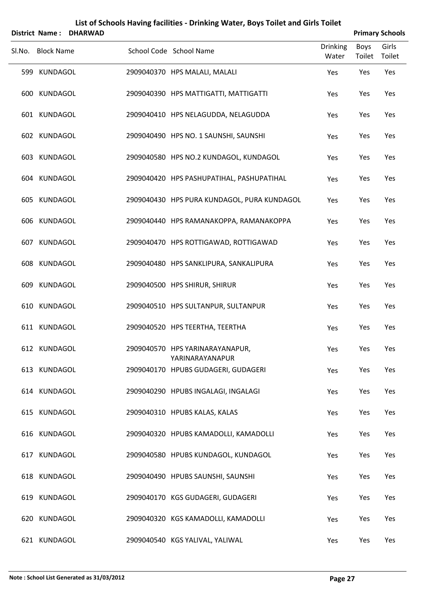| <b>District Name:</b> | <b>DHARWAD</b> |  |                                                    |                          | <b>Primary Schools</b> |                 |  |  |
|-----------------------|----------------|--|----------------------------------------------------|--------------------------|------------------------|-----------------|--|--|
| Sl.No. Block Name     |                |  | School Code School Name                            | <b>Drinking</b><br>Water | <b>Boys</b><br>Toilet  | Girls<br>Toilet |  |  |
| 599 KUNDAGOL          |                |  | 2909040370 HPS MALALI, MALALI                      | Yes                      | Yes                    | Yes             |  |  |
| 600 KUNDAGOL          |                |  | 2909040390 HPS MATTIGATTI, MATTIGATTI              | Yes                      | Yes                    | Yes             |  |  |
| 601 KUNDAGOL          |                |  | 2909040410 HPS NELAGUDDA, NELAGUDDA                | Yes                      | Yes                    | Yes             |  |  |
| 602 KUNDAGOL          |                |  | 2909040490 HPS NO. 1 SAUNSHI, SAUNSHI              | Yes                      | Yes                    | Yes             |  |  |
| 603 KUNDAGOL          |                |  | 2909040580 HPS NO.2 KUNDAGOL, KUNDAGOL             | Yes                      | Yes                    | Yes             |  |  |
| 604 KUNDAGOL          |                |  | 2909040420 HPS PASHUPATIHAL, PASHUPATIHAL          | Yes                      | Yes                    | Yes             |  |  |
| 605 KUNDAGOL          |                |  | 2909040430 HPS PURA KUNDAGOL, PURA KUNDAGOL        | Yes                      | Yes                    | Yes             |  |  |
| 606 KUNDAGOL          |                |  | 2909040440 HPS RAMANAKOPPA, RAMANAKOPPA            | Yes                      | Yes                    | Yes             |  |  |
| 607 KUNDAGOL          |                |  | 2909040470 HPS ROTTIGAWAD, ROTTIGAWAD              | Yes                      | Yes                    | Yes             |  |  |
| 608 KUNDAGOL          |                |  | 2909040480 HPS SANKLIPURA, SANKALIPURA             | Yes                      | Yes                    | Yes             |  |  |
| 609 KUNDAGOL          |                |  | 2909040500 HPS SHIRUR, SHIRUR                      | Yes                      | Yes                    | Yes             |  |  |
| 610 KUNDAGOL          |                |  | 2909040510 HPS SULTANPUR, SULTANPUR                | Yes                      | Yes                    | Yes             |  |  |
| 611 KUNDAGOL          |                |  | 2909040520 HPS TEERTHA, TEERTHA                    | Yes                      | Yes                    | Yes             |  |  |
| 612 KUNDAGOL          |                |  | 2909040570 HPS YARINARAYANAPUR,<br>YARINARAYANAPUR | Yes                      | Yes                    | Yes             |  |  |
| 613 KUNDAGOL          |                |  | 2909040170 HPUBS GUDAGERI, GUDAGERI                | Yes                      | Yes                    | Yes             |  |  |
| 614 KUNDAGOL          |                |  | 2909040290 HPUBS INGALAGI, INGALAGI                | Yes                      | Yes                    | Yes             |  |  |
| 615 KUNDAGOL          |                |  | 2909040310 HPUBS KALAS, KALAS                      | Yes                      | Yes                    | Yes             |  |  |
| 616 KUNDAGOL          |                |  | 2909040320 HPUBS KAMADOLLI, KAMADOLLI              | Yes                      | Yes                    | Yes             |  |  |
| 617 KUNDAGOL          |                |  | 2909040580 HPUBS KUNDAGOL, KUNDAGOL                | Yes                      | Yes                    | Yes             |  |  |
| 618 KUNDAGOL          |                |  | 2909040490 HPUBS SAUNSHI, SAUNSHI                  | Yes                      | Yes                    | Yes             |  |  |
| 619 KUNDAGOL          |                |  | 2909040170 KGS GUDAGERI, GUDAGERI                  | Yes                      | Yes                    | Yes             |  |  |
| 620 KUNDAGOL          |                |  | 2909040320 KGS KAMADOLLI, KAMADOLLI                | Yes                      | Yes                    | Yes             |  |  |
| 621 KUNDAGOL          |                |  | 2909040540 KGS YALIVAL, YALIWAL                    | Yes                      | Yes                    | Yes             |  |  |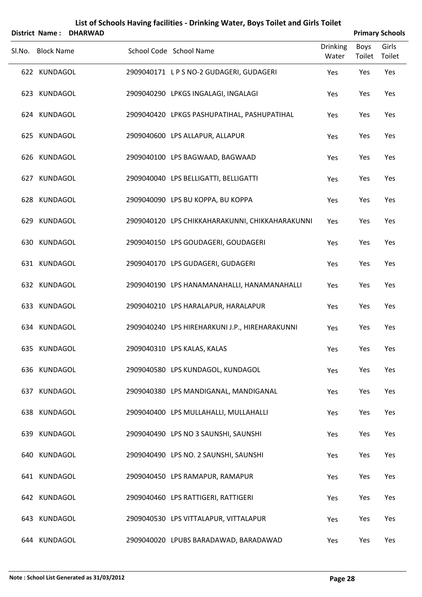|        |                   | District Name: DHARWAD |                                                 |                          |                       | <b>Primary Schools</b> |
|--------|-------------------|------------------------|-------------------------------------------------|--------------------------|-----------------------|------------------------|
| SI.No. | <b>Block Name</b> |                        | School Code School Name                         | <b>Drinking</b><br>Water | <b>Boys</b><br>Toilet | Girls<br>Toilet        |
|        | 622 KUNDAGOL      |                        | 2909040171 LPS NO-2 GUDAGERI, GUDAGERI          | Yes                      | Yes                   | Yes                    |
|        | 623 KUNDAGOL      |                        | 2909040290 LPKGS INGALAGI, INGALAGI             | Yes                      | Yes                   | Yes                    |
|        | 624 KUNDAGOL      |                        | 2909040420 LPKGS PASHUPATIHAL, PASHUPATIHAL     | Yes                      | Yes                   | Yes                    |
|        | 625 KUNDAGOL      |                        | 2909040600 LPS ALLAPUR, ALLAPUR                 | Yes                      | Yes                   | Yes                    |
|        | 626 KUNDAGOL      |                        | 2909040100 LPS BAGWAAD, BAGWAAD                 | Yes                      | Yes                   | Yes                    |
|        | 627 KUNDAGOL      |                        | 2909040040 LPS BELLIGATTI, BELLIGATTI           | Yes                      | Yes                   | Yes                    |
|        | 628 KUNDAGOL      |                        | 2909040090 LPS BU KOPPA, BU KOPPA               | Yes                      | Yes                   | Yes                    |
|        | 629 KUNDAGOL      |                        | 2909040120 LPS CHIKKAHARAKUNNI, CHIKKAHARAKUNNI | Yes                      | Yes                   | Yes                    |
|        | 630 KUNDAGOL      |                        | 2909040150 LPS GOUDAGERI, GOUDAGERI             | Yes                      | Yes                   | Yes                    |
|        | 631 KUNDAGOL      |                        | 2909040170 LPS GUDAGERI, GUDAGERI               | Yes                      | Yes                   | Yes                    |
|        | 632 KUNDAGOL      |                        | 2909040190 LPS HANAMANAHALLI, HANAMANAHALLI     | Yes                      | Yes                   | Yes                    |
|        | 633 KUNDAGOL      |                        | 2909040210 LPS HARALAPUR, HARALAPUR             | Yes                      | Yes                   | Yes                    |
|        | 634 KUNDAGOL      |                        | 2909040240 LPS HIREHARKUNI J.P., HIREHARAKUNNI  | Yes                      | Yes                   | Yes                    |
|        | 635 KUNDAGOL      |                        | 2909040310 LPS KALAS, KALAS                     | Yes                      | Yes                   | Yes                    |
|        | 636 KUNDAGOL      |                        | 2909040580 LPS KUNDAGOL, KUNDAGOL               | Yes                      | Yes                   | Yes                    |
|        | 637 KUNDAGOL      |                        | 2909040380 LPS MANDIGANAL, MANDIGANAL           | Yes                      | Yes                   | Yes                    |
|        | 638 KUNDAGOL      |                        | 2909040400 LPS MULLAHALLI, MULLAHALLI           | Yes                      | Yes                   | Yes                    |
|        | 639 KUNDAGOL      |                        | 2909040490 LPS NO 3 SAUNSHI, SAUNSHI            | Yes                      | Yes                   | Yes                    |
|        | 640 KUNDAGOL      |                        | 2909040490 LPS NO. 2 SAUNSHI, SAUNSHI           | Yes                      | Yes                   | Yes                    |
|        | 641 KUNDAGOL      |                        | 2909040450 LPS RAMAPUR, RAMAPUR                 | Yes                      | Yes                   | Yes                    |
|        | 642 KUNDAGOL      |                        | 2909040460 LPS RATTIGERI, RATTIGERI             | Yes                      | Yes                   | Yes                    |
|        | 643 KUNDAGOL      |                        | 2909040530 LPS VITTALAPUR, VITTALAPUR           | Yes                      | Yes                   | Yes                    |
|        | 644 KUNDAGOL      |                        | 2909040020 LPUBS BARADAWAD, BARADAWAD           | Yes                      | Yes                   | Yes                    |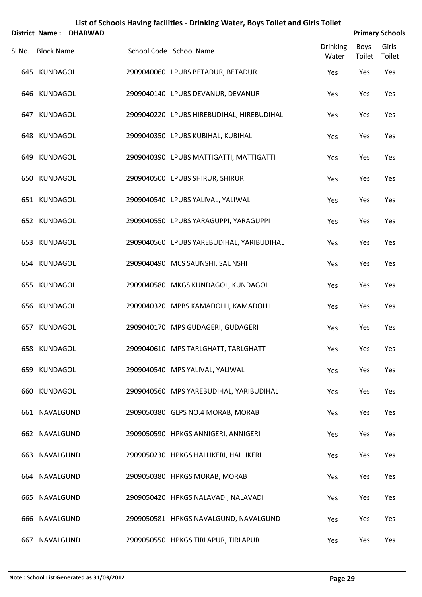|     | <b>District Name:</b> | <b>DHARWAD</b> |  |                                           |                   | <b>Primary Schools</b> |                 |  |  |  |
|-----|-----------------------|----------------|--|-------------------------------------------|-------------------|------------------------|-----------------|--|--|--|
|     | Sl.No. Block Name     |                |  | School Code School Name                   | Drinking<br>Water | Boys<br>Toilet         | Girls<br>Toilet |  |  |  |
|     | 645 KUNDAGOL          |                |  | 2909040060 LPUBS BETADUR, BETADUR         | Yes               | Yes                    | Yes             |  |  |  |
|     | 646 KUNDAGOL          |                |  | 2909040140 LPUBS DEVANUR, DEVANUR         | Yes               | Yes                    | Yes             |  |  |  |
|     | 647 KUNDAGOL          |                |  | 2909040220 LPUBS HIREBUDIHAL, HIREBUDIHAL | Yes               | Yes                    | Yes             |  |  |  |
|     | 648 KUNDAGOL          |                |  | 2909040350 LPUBS KUBIHAL, KUBIHAL         | Yes               | Yes                    | Yes             |  |  |  |
|     | 649 KUNDAGOL          |                |  | 2909040390 LPUBS MATTIGATTI, MATTIGATTI   | Yes               | Yes                    | Yes             |  |  |  |
|     | 650 KUNDAGOL          |                |  | 2909040500 LPUBS SHIRUR, SHIRUR           | Yes               | Yes                    | Yes             |  |  |  |
|     | 651 KUNDAGOL          |                |  | 2909040540 LPUBS YALIVAL, YALIWAL         | Yes               | Yes                    | Yes             |  |  |  |
|     | 652 KUNDAGOL          |                |  | 2909040550 LPUBS YARAGUPPI, YARAGUPPI     | Yes               | Yes                    | Yes             |  |  |  |
|     | 653 KUNDAGOL          |                |  | 2909040560 LPUBS YAREBUDIHAL, YARIBUDIHAL | Yes               | Yes                    | Yes             |  |  |  |
|     | 654 KUNDAGOL          |                |  | 2909040490 MCS SAUNSHI, SAUNSHI           | Yes               | Yes                    | Yes             |  |  |  |
|     | 655 KUNDAGOL          |                |  | 2909040580 MKGS KUNDAGOL, KUNDAGOL        | Yes               | Yes                    | Yes             |  |  |  |
|     | 656 KUNDAGOL          |                |  | 2909040320 MPBS KAMADOLLI, KAMADOLLI      | Yes               | Yes                    | Yes             |  |  |  |
|     | 657 KUNDAGOL          |                |  | 2909040170 MPS GUDAGERI, GUDAGERI         | Yes               | Yes                    | Yes             |  |  |  |
|     | 658 KUNDAGOL          |                |  | 2909040610 MPS TARLGHATT, TARLGHATT       | Yes               | Yes                    | Yes             |  |  |  |
|     | 659 KUNDAGOL          |                |  | 2909040540 MPS YALIVAL, YALIWAL           | Yes               | Yes                    | Yes             |  |  |  |
|     | 660 KUNDAGOL          |                |  | 2909040560 MPS YAREBUDIHAL, YARIBUDIHAL   | Yes               | Yes                    | Yes             |  |  |  |
|     | 661 NAVALGUND         |                |  | 2909050380 GLPS NO.4 MORAB, MORAB         | Yes               | Yes                    | Yes             |  |  |  |
|     | 662 NAVALGUND         |                |  | 2909050590 HPKGS ANNIGERI, ANNIGERI       | Yes               | Yes                    | Yes             |  |  |  |
|     | 663 NAVALGUND         |                |  | 2909050230 HPKGS HALLIKERI, HALLIKERI     | Yes               | Yes                    | Yes             |  |  |  |
|     | 664 NAVALGUND         |                |  | 2909050380 HPKGS MORAB, MORAB             | Yes               | Yes                    | Yes             |  |  |  |
|     | 665 NAVALGUND         |                |  | 2909050420 HPKGS NALAVADI, NALAVADI       | Yes               | Yes                    | Yes             |  |  |  |
|     | 666 NAVALGUND         |                |  | 2909050581 HPKGS NAVALGUND, NAVALGUND     | Yes               | Yes                    | Yes             |  |  |  |
| 667 | NAVALGUND             |                |  | 2909050550 HPKGS TIRLAPUR, TIRLAPUR       | Yes               | Yes                    | Yes             |  |  |  |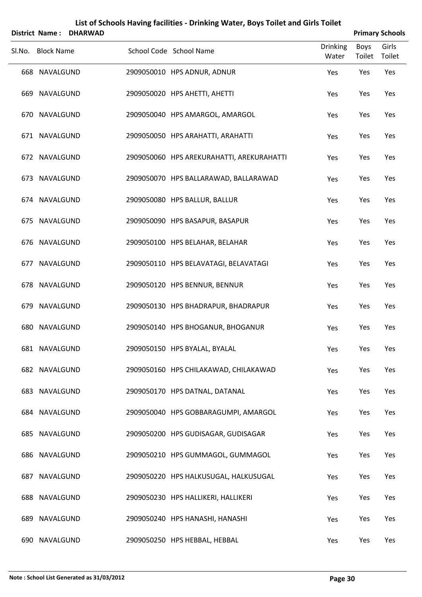|        | <b>District Name:</b> | <b>DHARWAD</b> |                                           |                          |                       | <b>Primary Schools</b> |
|--------|-----------------------|----------------|-------------------------------------------|--------------------------|-----------------------|------------------------|
| Sl.No. | <b>Block Name</b>     |                | School Code School Name                   | <b>Drinking</b><br>Water | <b>Boys</b><br>Toilet | Girls<br>Toilet        |
|        | 668 NAVALGUND         |                | 2909050010 HPS ADNUR, ADNUR               | Yes                      | Yes                   | Yes                    |
|        | 669 NAVALGUND         |                | 2909050020 HPS AHETTI, AHETTI             | Yes                      | Yes                   | Yes                    |
|        | 670 NAVALGUND         |                | 2909050040 HPS AMARGOL, AMARGOL           | Yes                      | Yes                   | Yes                    |
|        | 671 NAVALGUND         |                | 2909050050 HPS ARAHATTI, ARAHATTI         | Yes                      | Yes                   | Yes                    |
|        | 672 NAVALGUND         |                | 2909050060 HPS AREKURAHATTI, AREKURAHATTI | Yes                      | Yes                   | Yes                    |
|        | 673 NAVALGUND         |                | 2909050070 HPS BALLARAWAD, BALLARAWAD     | Yes                      | Yes                   | Yes                    |
|        | 674 NAVALGUND         |                | 2909050080 HPS BALLUR, BALLUR             | Yes                      | Yes                   | Yes                    |
|        | 675 NAVALGUND         |                | 2909050090 HPS BASAPUR, BASAPUR           | Yes                      | Yes                   | Yes                    |
|        | 676 NAVALGUND         |                | 2909050100 HPS BELAHAR, BELAHAR           | Yes                      | Yes                   | Yes                    |
|        | 677 NAVALGUND         |                | 2909050110 HPS BELAVATAGI, BELAVATAGI     | Yes                      | Yes                   | Yes                    |
|        | 678 NAVALGUND         |                | 2909050120 HPS BENNUR, BENNUR             | Yes                      | Yes                   | Yes                    |
|        | 679 NAVALGUND         |                | 2909050130 HPS BHADRAPUR, BHADRAPUR       | Yes                      | Yes                   | Yes                    |
| 680    | NAVALGUND             |                | 2909050140 HPS BHOGANUR, BHOGANUR         | Yes                      | Yes                   | Yes                    |
|        | 681 NAVALGUND         |                | 2909050150 HPS BYALAL, BYALAL             | Yes                      | Yes                   | Yes                    |
|        | 682 NAVALGUND         |                | 2909050160 HPS CHILAKAWAD, CHILAKAWAD     | Yes                      | Yes                   | Yes                    |
|        | 683 NAVALGUND         |                | 2909050170 HPS DATNAL, DATANAL            | Yes                      | Yes                   | Yes                    |
|        | 684 NAVALGUND         |                | 2909050040 HPS GOBBARAGUMPI, AMARGOL      | Yes                      | Yes                   | Yes                    |
|        | 685 NAVALGUND         |                | 2909050200 HPS GUDISAGAR, GUDISAGAR       | Yes                      | Yes                   | Yes                    |
|        | 686 NAVALGUND         |                | 2909050210 HPS GUMMAGOL, GUMMAGOL         | Yes                      | Yes                   | Yes                    |
|        | 687 NAVALGUND         |                | 2909050220 HPS HALKUSUGAL, HALKUSUGAL     | Yes                      | Yes                   | Yes                    |
|        | 688 NAVALGUND         |                | 2909050230 HPS HALLIKERI, HALLIKERI       | Yes                      | Yes                   | Yes                    |
|        | 689 NAVALGUND         |                | 2909050240 HPS HANASHI, HANASHI           | Yes                      | Yes                   | Yes                    |
|        | 690 NAVALGUND         |                | 2909050250 HPS HEBBAL, HEBBAL             | Yes                      | Yes                   | Yes                    |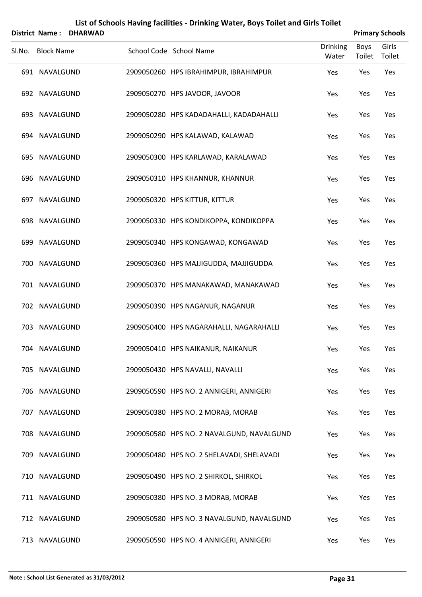|        | <b>District Name:</b> | <b>DHARWAD</b> |                                           |                          | <b>Primary Schools</b> |                 |
|--------|-----------------------|----------------|-------------------------------------------|--------------------------|------------------------|-----------------|
| SI.No. | <b>Block Name</b>     |                | School Code School Name                   | <b>Drinking</b><br>Water | <b>Boys</b><br>Toilet  | Girls<br>Toilet |
|        | 691 NAVALGUND         |                | 2909050260 HPS IBRAHIMPUR, IBRAHIMPUR     | Yes                      | Yes                    | Yes             |
|        | 692 NAVALGUND         |                | 2909050270 HPS JAVOOR, JAVOOR             | Yes                      | Yes                    | Yes             |
|        | 693 NAVALGUND         |                | 2909050280 HPS KADADAHALLI, KADADAHALLI   | Yes                      | Yes                    | Yes             |
|        | 694 NAVALGUND         |                | 2909050290 HPS KALAWAD, KALAWAD           | Yes                      | Yes                    | Yes             |
|        | 695 NAVALGUND         |                | 2909050300 HPS KARLAWAD, KARALAWAD        | Yes                      | Yes                    | Yes             |
|        | 696 NAVALGUND         |                | 2909050310 HPS KHANNUR, KHANNUR           | Yes                      | Yes                    | Yes             |
|        | 697 NAVALGUND         |                | 2909050320 HPS KITTUR, KITTUR             | Yes                      | Yes                    | Yes             |
|        | 698 NAVALGUND         |                | 2909050330 HPS KONDIKOPPA, KONDIKOPPA     | Yes                      | Yes                    | Yes             |
|        | 699 NAVALGUND         |                | 2909050340 HPS KONGAWAD, KONGAWAD         | Yes                      | Yes                    | Yes             |
|        | 700 NAVALGUND         |                | 2909050360 HPS MAJJIGUDDA, MAJJIGUDDA     | Yes                      | Yes                    | Yes             |
|        | 701 NAVALGUND         |                | 2909050370 HPS MANAKAWAD, MANAKAWAD       | Yes                      | Yes                    | Yes             |
|        | 702 NAVALGUND         |                | 2909050390 HPS NAGANUR, NAGANUR           | Yes                      | Yes                    | Yes             |
| 703    | NAVALGUND             |                | 2909050400 HPS NAGARAHALLI, NAGARAHALLI   | Yes                      | Yes                    | Yes             |
|        | 704 NAVALGUND         |                | 2909050410 HPS NAIKANUR, NAIKANUR         | Yes                      | Yes                    | Yes             |
|        | 705 NAVALGUND         |                | 2909050430 HPS NAVALLI, NAVALLI           | Yes                      | Yes                    | Yes             |
|        | 706 NAVALGUND         |                | 2909050590 HPS NO. 2 ANNIGERI, ANNIGERI   | Yes                      | Yes                    | Yes             |
|        | 707 NAVALGUND         |                | 2909050380 HPS NO. 2 MORAB, MORAB         | Yes                      | Yes                    | Yes             |
|        | 708 NAVALGUND         |                | 2909050580 HPS NO. 2 NAVALGUND, NAVALGUND | Yes                      | Yes                    | Yes             |
|        | 709 NAVALGUND         |                | 2909050480 HPS NO. 2 SHELAVADI, SHELAVADI | Yes                      | Yes                    | Yes             |
|        | 710 NAVALGUND         |                | 2909050490 HPS NO. 2 SHIRKOL, SHIRKOL     | Yes                      | Yes                    | Yes             |
|        | 711 NAVALGUND         |                | 2909050380 HPS NO. 3 MORAB, MORAB         | Yes                      | Yes                    | Yes             |
|        | 712 NAVALGUND         |                | 2909050580 HPS NO. 3 NAVALGUND, NAVALGUND | Yes                      | Yes                    | Yes             |
|        | 713 NAVALGUND         |                | 2909050590 HPS NO. 4 ANNIGERI, ANNIGERI   | Yes                      | Yes                    | Yes             |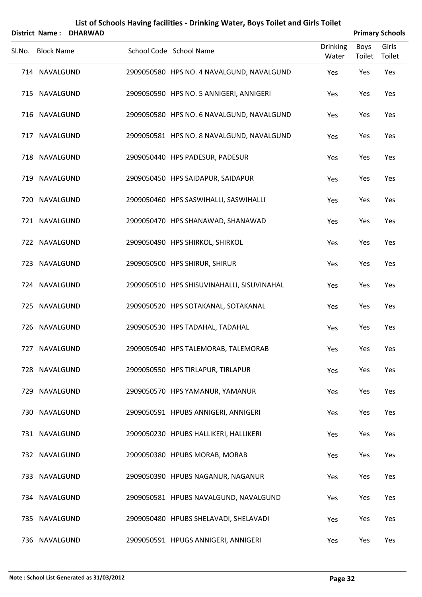|        | <b>District Name:</b> | <b>DHARWAD</b> | List of Schools Having facilities - Drinking Water, Boys Toilet and Girls Toilet |                          |                       | <b>Primary Schools</b> |
|--------|-----------------------|----------------|----------------------------------------------------------------------------------|--------------------------|-----------------------|------------------------|
| SI.No. | <b>Block Name</b>     |                | School Code School Name                                                          | <b>Drinking</b><br>Water | <b>Boys</b><br>Toilet | Girls<br>Toilet        |
|        | 714 NAVALGUND         |                | 2909050580 HPS NO. 4 NAVALGUND, NAVALGUND                                        | Yes                      | Yes                   | Yes                    |
|        | 715 NAVALGUND         |                | 2909050590 HPS NO. 5 ANNIGERI, ANNIGERI                                          | Yes                      | Yes                   | Yes                    |
| 716    | NAVALGUND             |                | 2909050580 HPS NO. 6 NAVALGUND, NAVALGUND                                        | Yes                      | Yes                   | Yes                    |
| 717    | NAVALGUND             |                | 2909050581 HPS NO. 8 NAVALGUND, NAVALGUND                                        | Yes                      | Yes                   | Yes                    |
| 718    | NAVALGUND             |                | 2909050440 HPS PADESUR, PADESUR                                                  | Yes                      | Yes                   | Yes                    |
|        | 719 NAVALGUND         |                | 2909050450 HPS SAIDAPUR, SAIDAPUR                                                | Yes                      | Yes                   | Yes                    |
| 720    | NAVALGUND             |                | 2909050460 HPS SASWIHALLI, SASWIHALLI                                            | Yes                      | Yes                   | Yes                    |
|        | 721 NAVALGUND         |                | 2909050470 HPS SHANAWAD, SHANAWAD                                                | Yes                      | Yes                   | Yes                    |
|        | 722 NAVALGUND         |                | 2909050490 HPS SHIRKOL, SHIRKOL                                                  | Yes                      | Yes                   | Yes                    |
|        | 723 NAVALGUND         |                | 2909050500 HPS SHIRUR, SHIRUR                                                    | Yes                      | Yes                   | Yes                    |
|        | 724 NAVALGUND         |                | 2909050510 HPS SHISUVINAHALLI, SISUVINAHAL                                       | Yes                      | Yes                   | Yes                    |
| 725    | NAVALGUND             |                | 2909050520 HPS SOTAKANAL, SOTAKANAL                                              | Yes                      | Yes                   | Yes                    |
|        | 726 NAVALGUND         |                | 2909050530 HPS TADAHAL, TADAHAL                                                  | Yes                      | Yes                   | Yes                    |
| 727    | NAVALGUND             |                | 2909050540 HPS TALEMORAB, TALEMORAB                                              | Yes                      | Yes                   | Yes                    |
|        | 728 NAVALGUND         |                | 2909050550 HPS TIRLAPUR, TIRLAPUR                                                | Yes                      | Yes                   | Yes                    |
| 729    | NAVALGUND             |                | 2909050570 HPS YAMANUR, YAMANUR                                                  | Yes                      | Yes                   | Yes                    |
| 730 -  | NAVALGUND             |                | 2909050591 HPUBS ANNIGERI, ANNIGERI                                              | Yes                      | Yes                   | Yes                    |
|        | 731 NAVALGUND         |                | 2909050230 HPUBS HALLIKERI, HALLIKERI                                            | Yes                      | Yes                   | Yes                    |
|        | 732 NAVALGUND         |                | 2909050380 HPUBS MORAB, MORAB                                                    | Yes                      | Yes                   | Yes                    |
| 733    | NAVALGUND             |                | 2909050390 HPUBS NAGANUR, NAGANUR                                                | Yes                      | Yes                   | Yes                    |
|        | 734 NAVALGUND         |                | 2909050581 HPUBS NAVALGUND, NAVALGUND                                            | Yes                      | Yes                   | Yes                    |
| 735    | NAVALGUND             |                | 2909050480 HPUBS SHELAVADI, SHELAVADI                                            | Yes                      | Yes                   | Yes                    |
| 736    | NAVALGUND             |                | 2909050591 HPUGS ANNIGERI, ANNIGERI                                              | Yes                      | Yes                   | Yes                    |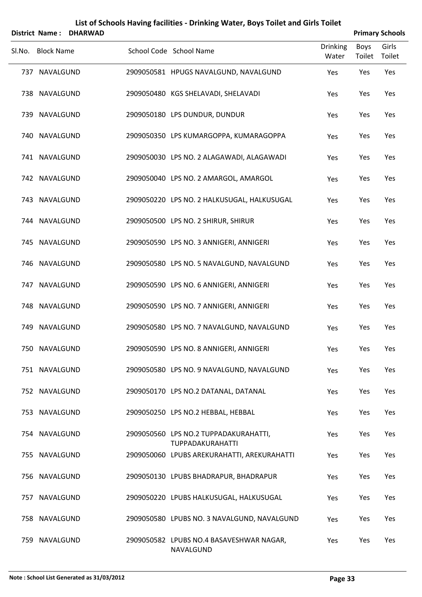|     | <b>District Name:</b> | <b>DHARWAD</b> | List of Schools Having facilities - Drinking Water, Boys Toilet and Girls Toilet |                          |                       | <b>Primary Schools</b> |
|-----|-----------------------|----------------|----------------------------------------------------------------------------------|--------------------------|-----------------------|------------------------|
|     | Sl.No. Block Name     |                | School Code School Name                                                          | <b>Drinking</b><br>Water | <b>Boys</b><br>Toilet | Girls<br>Toilet        |
|     | 737 NAVALGUND         |                | 2909050581 HPUGS NAVALGUND, NAVALGUND                                            | Yes                      | Yes                   | Yes                    |
|     | 738 NAVALGUND         |                | 2909050480 KGS SHELAVADI, SHELAVADI                                              | Yes                      | Yes                   | Yes                    |
| 739 | NAVALGUND             |                | 2909050180 LPS DUNDUR, DUNDUR                                                    | Yes                      | Yes                   | Yes                    |
|     | 740 NAVALGUND         |                | 2909050350 LPS KUMARGOPPA, KUMARAGOPPA                                           | Yes                      | Yes                   | Yes                    |
|     | 741 NAVALGUND         |                | 2909050030 LPS NO. 2 ALAGAWADI, ALAGAWADI                                        | Yes                      | Yes                   | Yes                    |
|     | 742 NAVALGUND         |                | 2909050040 LPS NO. 2 AMARGOL, AMARGOL                                            | Yes                      | Yes                   | Yes                    |
|     | 743 NAVALGUND         |                | 2909050220 LPS NO. 2 HALKUSUGAL, HALKUSUGAL                                      | Yes                      | Yes                   | Yes                    |
|     | 744 NAVALGUND         |                | 2909050500 LPS NO. 2 SHIRUR, SHIRUR                                              | Yes                      | Yes                   | Yes                    |
|     | 745 NAVALGUND         |                | 2909050590 LPS NO. 3 ANNIGERI, ANNIGERI                                          | Yes                      | Yes                   | Yes                    |
|     | 746 NAVALGUND         |                | 2909050580 LPS NO. 5 NAVALGUND, NAVALGUND                                        | Yes                      | Yes                   | Yes                    |
|     | 747 NAVALGUND         |                | 2909050590 LPS NO. 6 ANNIGERI, ANNIGERI                                          | Yes                      | Yes                   | Yes                    |
| 748 | NAVALGUND             |                | 2909050590 LPS NO. 7 ANNIGERI, ANNIGERI                                          | Yes                      | Yes                   | Yes                    |
|     | 749 NAVALGUND         |                | 2909050580 LPS NO. 7 NAVALGUND, NAVALGUND                                        | Yes                      | Yes                   | Yes                    |
|     | 750 NAVALGUND         |                | 2909050590 LPS NO. 8 ANNIGERI, ANNIGERI                                          | Yes                      | Yes                   | Yes                    |
|     | 751 NAVALGUND         |                | 2909050580 LPS NO. 9 NAVALGUND, NAVALGUND                                        | Yes                      | Yes                   | Yes                    |
|     | 752 NAVALGUND         |                | 2909050170 LPS NO.2 DATANAL, DATANAL                                             | Yes                      | Yes                   | Yes                    |
|     | 753 NAVALGUND         |                | 2909050250 LPS NO.2 HEBBAL, HEBBAL                                               | Yes                      | Yes                   | Yes                    |
|     | 754 NAVALGUND         |                | 2909050560 LPS NO.2 TUPPADAKURAHATTI,<br>TUPPADAKURAHATTI                        | Yes                      | Yes                   | Yes                    |
|     | 755 NAVALGUND         |                | 2909050060 LPUBS AREKURAHATTI, AREKURAHATTI                                      | Yes                      | Yes                   | Yes                    |
|     | 756 NAVALGUND         |                | 2909050130 LPUBS BHADRAPUR, BHADRAPUR                                            | Yes                      | Yes                   | Yes                    |
| 757 | NAVALGUND             |                | 2909050220 LPUBS HALKUSUGAL, HALKUSUGAL                                          | Yes                      | Yes                   | Yes                    |
|     | 758 NAVALGUND         |                | 2909050580 LPUBS NO. 3 NAVALGUND, NAVALGUND                                      | Yes                      | Yes                   | Yes                    |
|     | 759 NAVALGUND         |                | 2909050582 LPUBS NO.4 BASAVESHWAR NAGAR,<br>NAVALGUND                            | Yes                      | Yes                   | Yes                    |